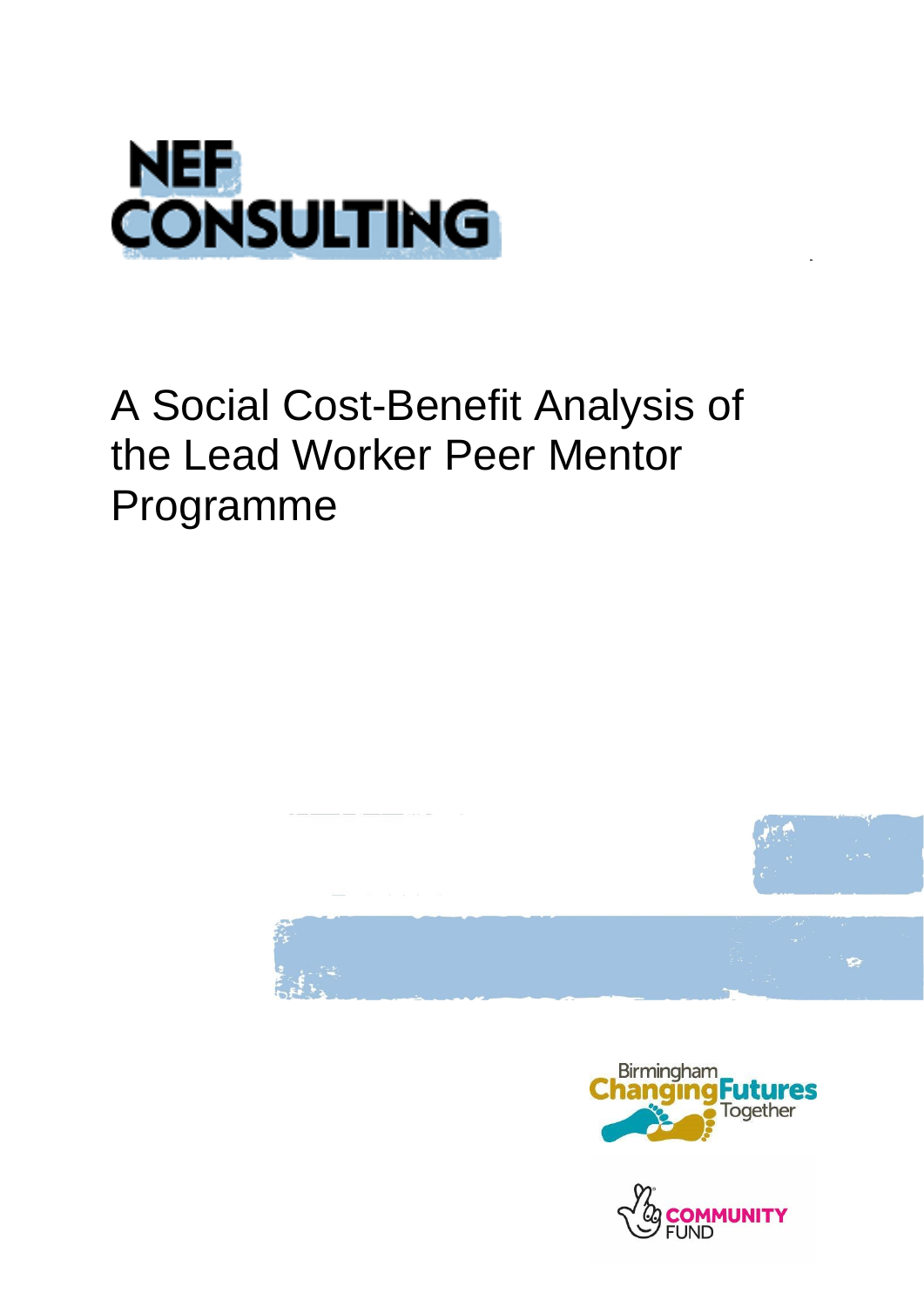

# A Social Cost-Benefit Analysis of the Lead Worker Peer Mentor Programme





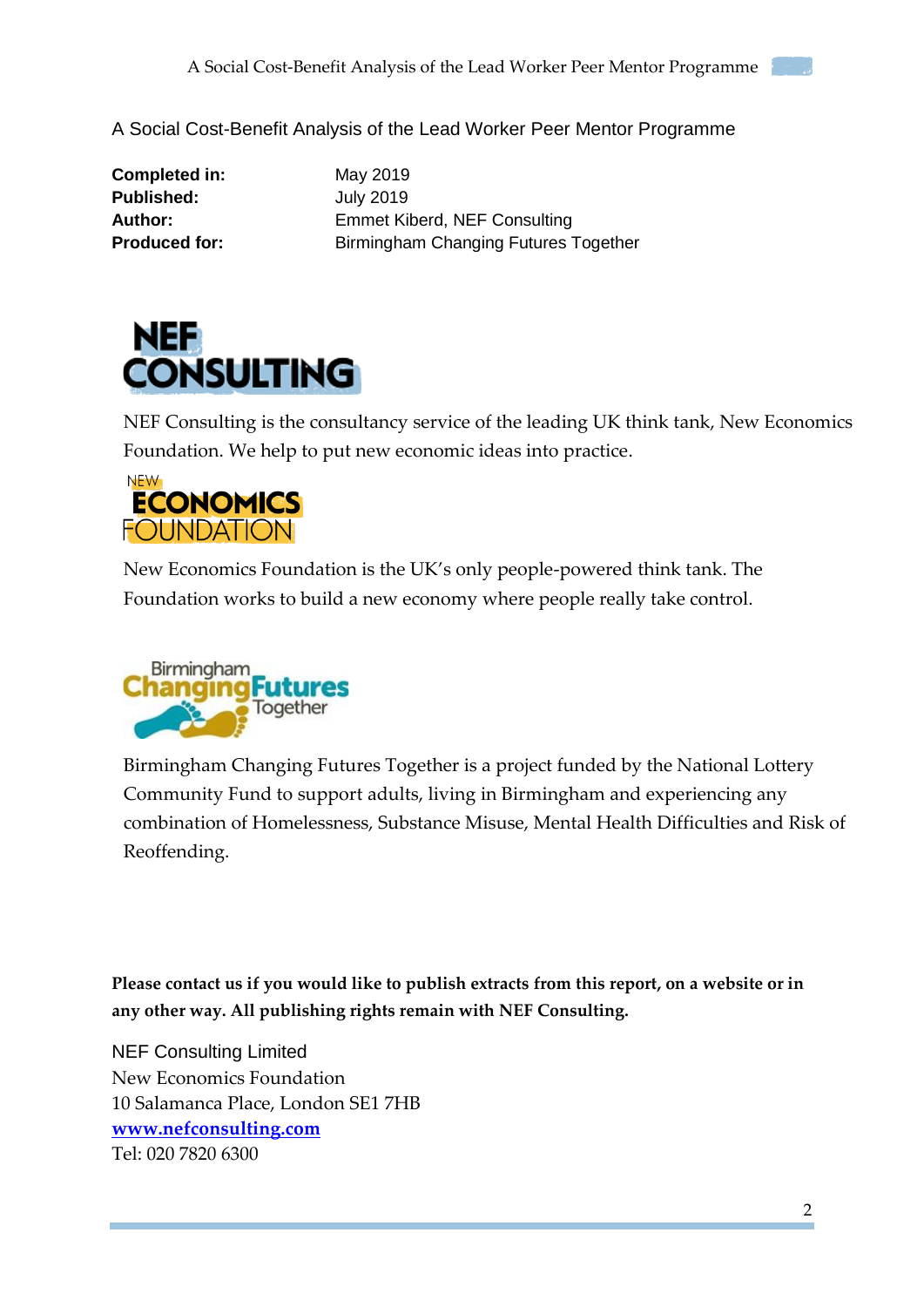

**Completed in:** May 2019 **Published:** July 2019

Author: Emmet Kiberd, NEF Consulting **Produced for:** Birmingham Changing Futures Together



NEF Consulting is the consultancy service of the leading UK think tank, New Economics Foundation. We help to put new economic ideas into practice.



New Economics Foundation is the UK's only people-powered think tank. The Foundation works to build a new economy where people really take control.



Birmingham Changing Futures Together is a project funded by the National Lottery Community Fund to support adults, living in Birmingham and experiencing any combination of Homelessness, Substance Misuse, Mental Health Difficulties and Risk of Reoffending.

**Please contact us if you would like to publish extracts from this report, on a website or in any other way. All publishing rights remain with NEF Consulting.**

NEF Consulting Limited New Economics Foundation 10 Salamanca Place, London SE1 7HB **[www.nefconsulting.com](http://www.nefconsulting.com/)** Tel: 020 7820 6300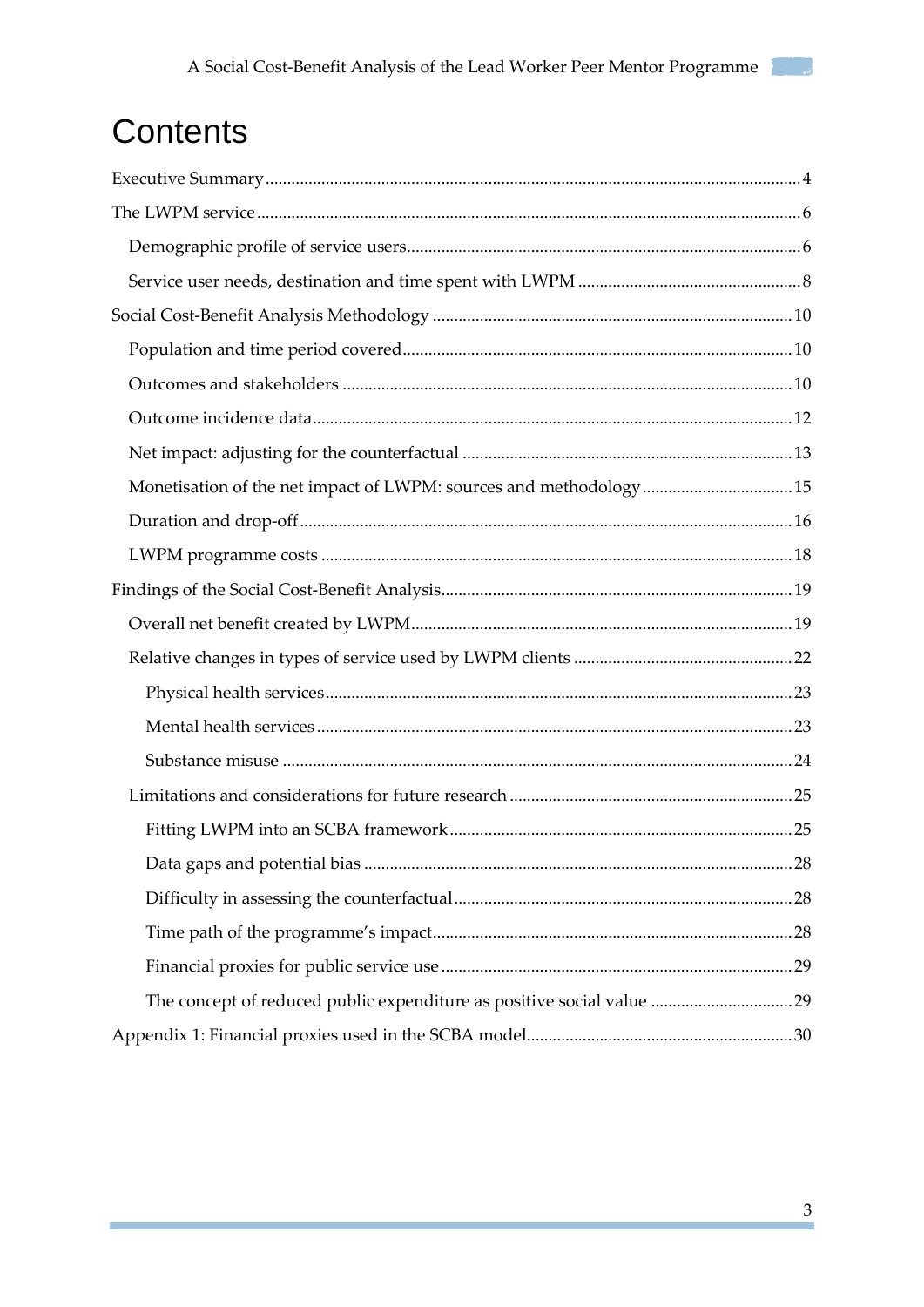## Contents

| Monetisation of the net impact of LWPM: sources and methodology15      |  |
|------------------------------------------------------------------------|--|
|                                                                        |  |
|                                                                        |  |
|                                                                        |  |
|                                                                        |  |
|                                                                        |  |
|                                                                        |  |
|                                                                        |  |
|                                                                        |  |
|                                                                        |  |
|                                                                        |  |
|                                                                        |  |
|                                                                        |  |
|                                                                        |  |
|                                                                        |  |
| The concept of reduced public expenditure as positive social value  29 |  |
|                                                                        |  |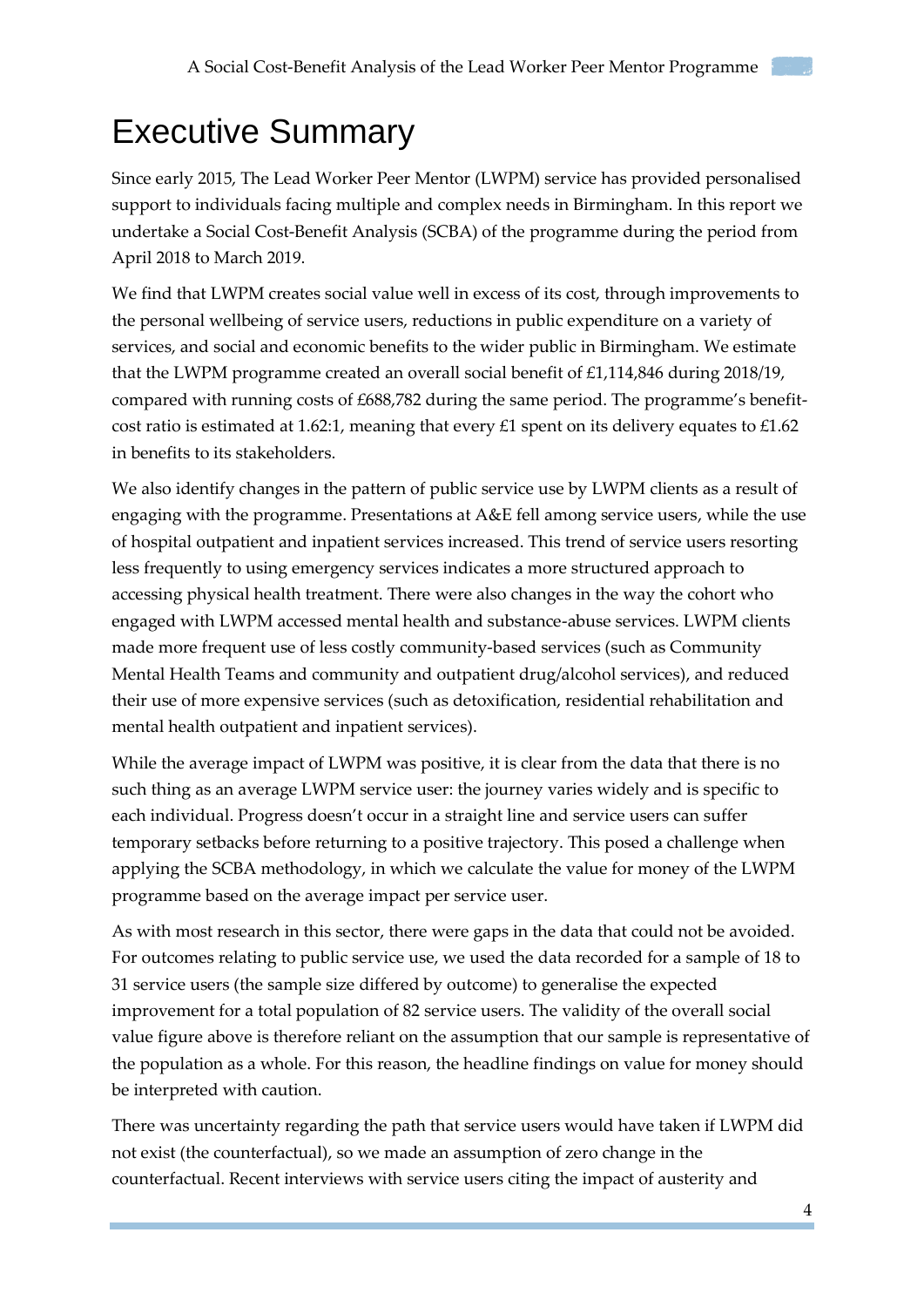## <span id="page-3-0"></span>Executive Summary

Since early 2015, The Lead Worker Peer Mentor (LWPM) service has provided personalised support to individuals facing multiple and complex needs in Birmingham. In this report we undertake a Social Cost-Benefit Analysis (SCBA) of the programme during the period from April 2018 to March 2019.

We find that LWPM creates social value well in excess of its cost, through improvements to the personal wellbeing of service users, reductions in public expenditure on a variety of services, and social and economic benefits to the wider public in Birmingham. We estimate that the LWPM programme created an overall social benefit of £1,114,846 during 2018/19, compared with running costs of £688,782 during the same period. The programme's benefitcost ratio is estimated at 1.62:1, meaning that every £1 spent on its delivery equates to £1.62 in benefits to its stakeholders.

We also identify changes in the pattern of public service use by LWPM clients as a result of engaging with the programme. Presentations at A&E fell among service users, while the use of hospital outpatient and inpatient services increased. This trend of service users resorting less frequently to using emergency services indicates a more structured approach to accessing physical health treatment. There were also changes in the way the cohort who engaged with LWPM accessed mental health and substance-abuse services. LWPM clients made more frequent use of less costly community-based services (such as Community Mental Health Teams and community and outpatient drug/alcohol services), and reduced their use of more expensive services (such as detoxification, residential rehabilitation and mental health outpatient and inpatient services).

While the average impact of LWPM was positive, it is clear from the data that there is no such thing as an average LWPM service user: the journey varies widely and is specific to each individual. Progress doesn't occur in a straight line and service users can suffer temporary setbacks before returning to a positive trajectory. This posed a challenge when applying the SCBA methodology, in which we calculate the value for money of the LWPM programme based on the average impact per service user.

As with most research in this sector, there were gaps in the data that could not be avoided. For outcomes relating to public service use, we used the data recorded for a sample of 18 to 31 service users (the sample size differed by outcome) to generalise the expected improvement for a total population of 82 service users. The validity of the overall social value figure above is therefore reliant on the assumption that our sample is representative of the population as a whole. For this reason, the headline findings on value for money should be interpreted with caution.

There was uncertainty regarding the path that service users would have taken if LWPM did not exist (the counterfactual), so we made an assumption of zero change in the counterfactual. Recent interviews with service users citing the impact of austerity and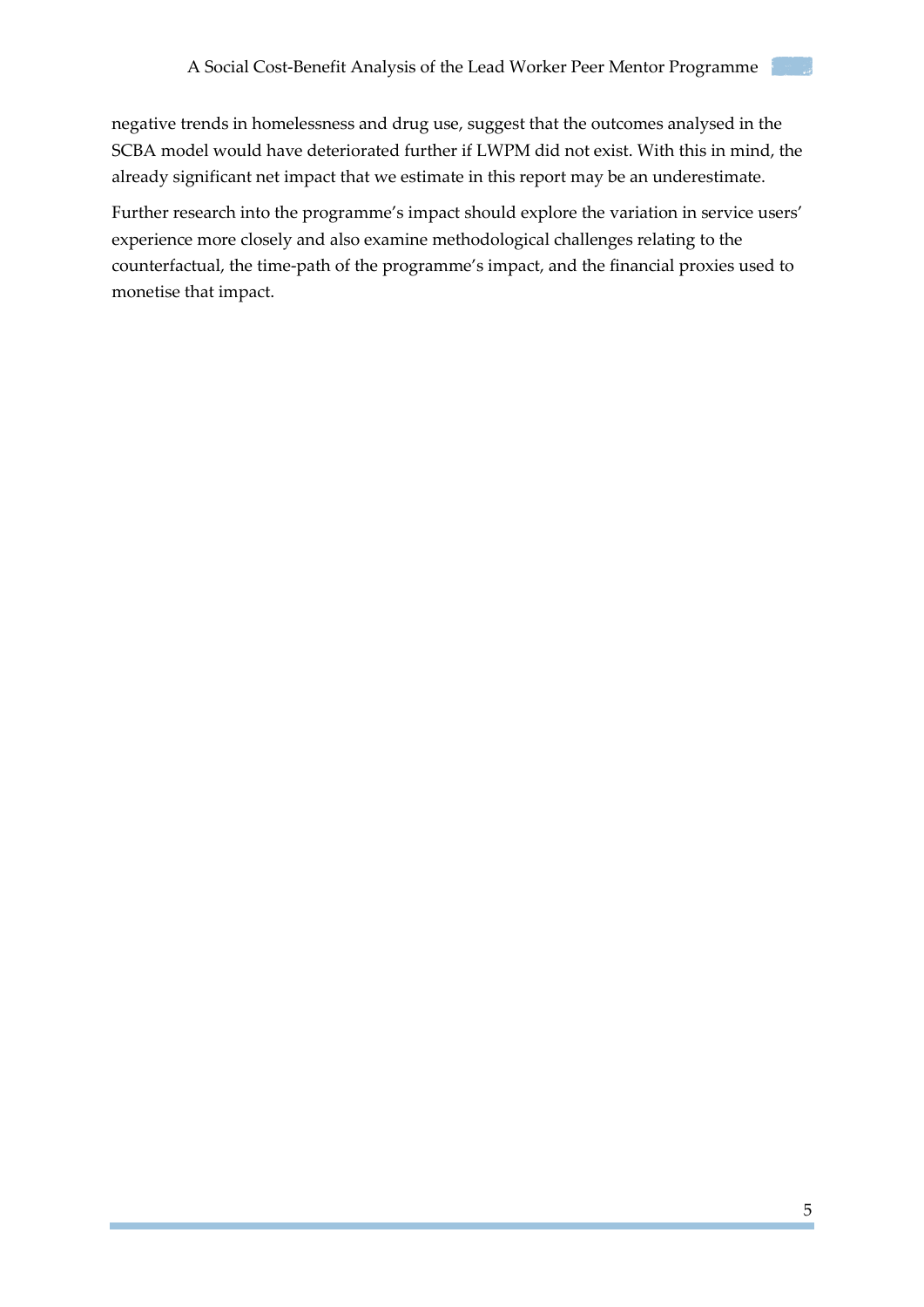negative trends in homelessness and drug use, suggest that the outcomes analysed in the SCBA model would have deteriorated further if LWPM did not exist. With this in mind, the already significant net impact that we estimate in this report may be an underestimate.

Further research into the programme's impact should explore the variation in service users' experience more closely and also examine methodological challenges relating to the counterfactual, the time-path of the programme's impact, and the financial proxies used to monetise that impact.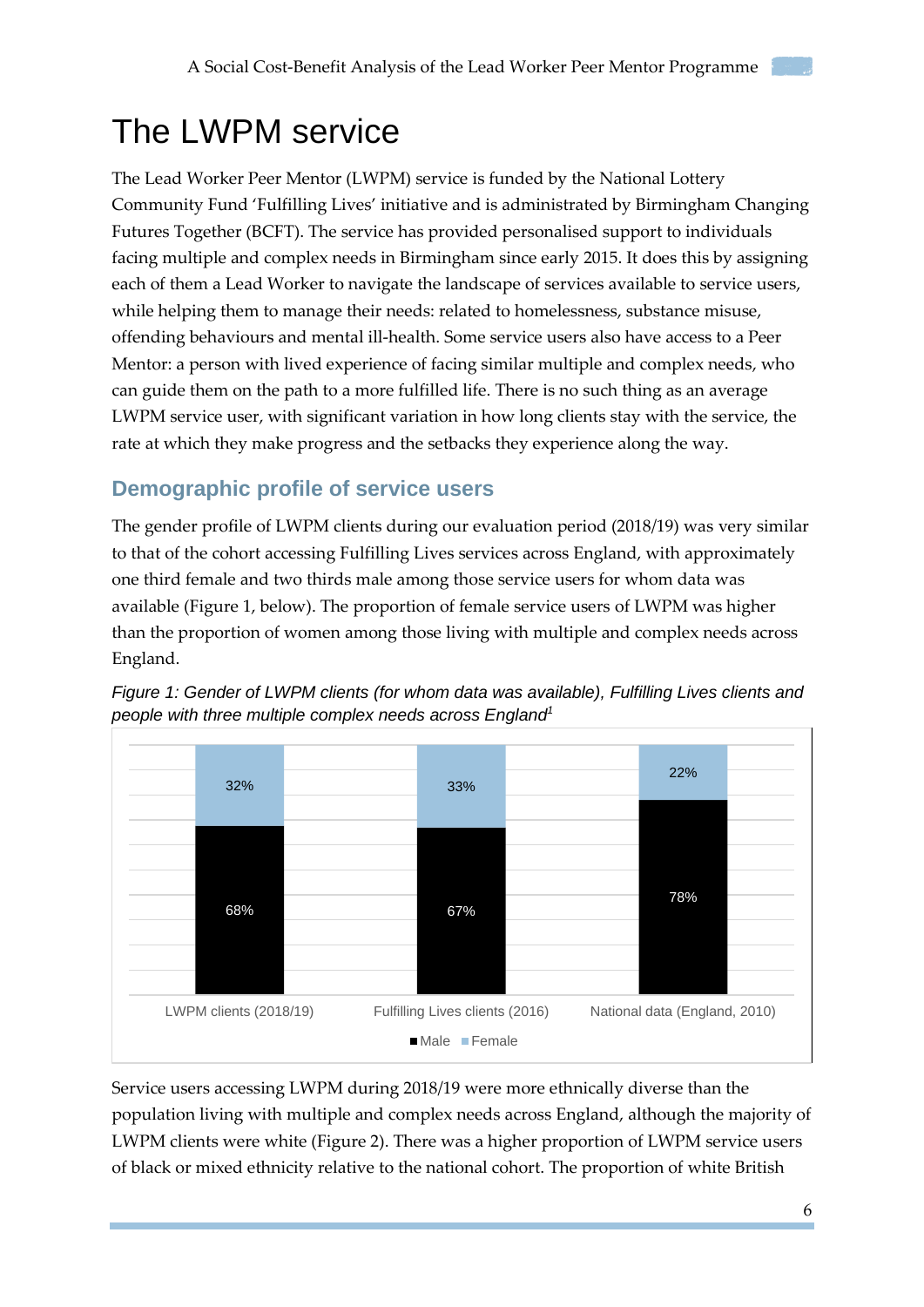## <span id="page-5-0"></span>The LWPM service

The Lead Worker Peer Mentor (LWPM) service is funded by the National Lottery Community Fund 'Fulfilling Lives' initiative and is administrated by Birmingham Changing Futures Together (BCFT). The service has provided personalised support to individuals facing multiple and complex needs in Birmingham since early 2015. It does this by assigning each of them a Lead Worker to navigate the landscape of services available to service users, while helping them to manage their needs: related to homelessness, substance misuse, offending behaviours and mental ill-health. Some service users also have access to a Peer Mentor: a person with lived experience of facing similar multiple and complex needs, who can guide them on the path to a more fulfilled life. There is no such thing as an average LWPM service user, with significant variation in how long clients stay with the service, the rate at which they make progress and the setbacks they experience along the way.

## <span id="page-5-1"></span>**Demographic profile of service users**

The gender profile of LWPM clients during our evaluation period (2018/19) was very similar to that of the cohort accessing Fulfilling Lives services across England, with approximately one third female and two thirds male among those service users for whom data was available (Figure 1, below). The proportion of female service users of LWPM was higher than the proportion of women among those living with multiple and complex needs across England.



*Figure 1: Gender of LWPM clients (for whom data was available), Fulfilling Lives clients and people with three multiple complex needs across England<sup>1</sup>*

Service users accessing LWPM during 2018/19 were more ethnically diverse than the population living with multiple and complex needs across England, although the majority of LWPM clients were white (Figure 2). There was a higher proportion of LWPM service users of black or mixed ethnicity relative to the national cohort. The proportion of white British

6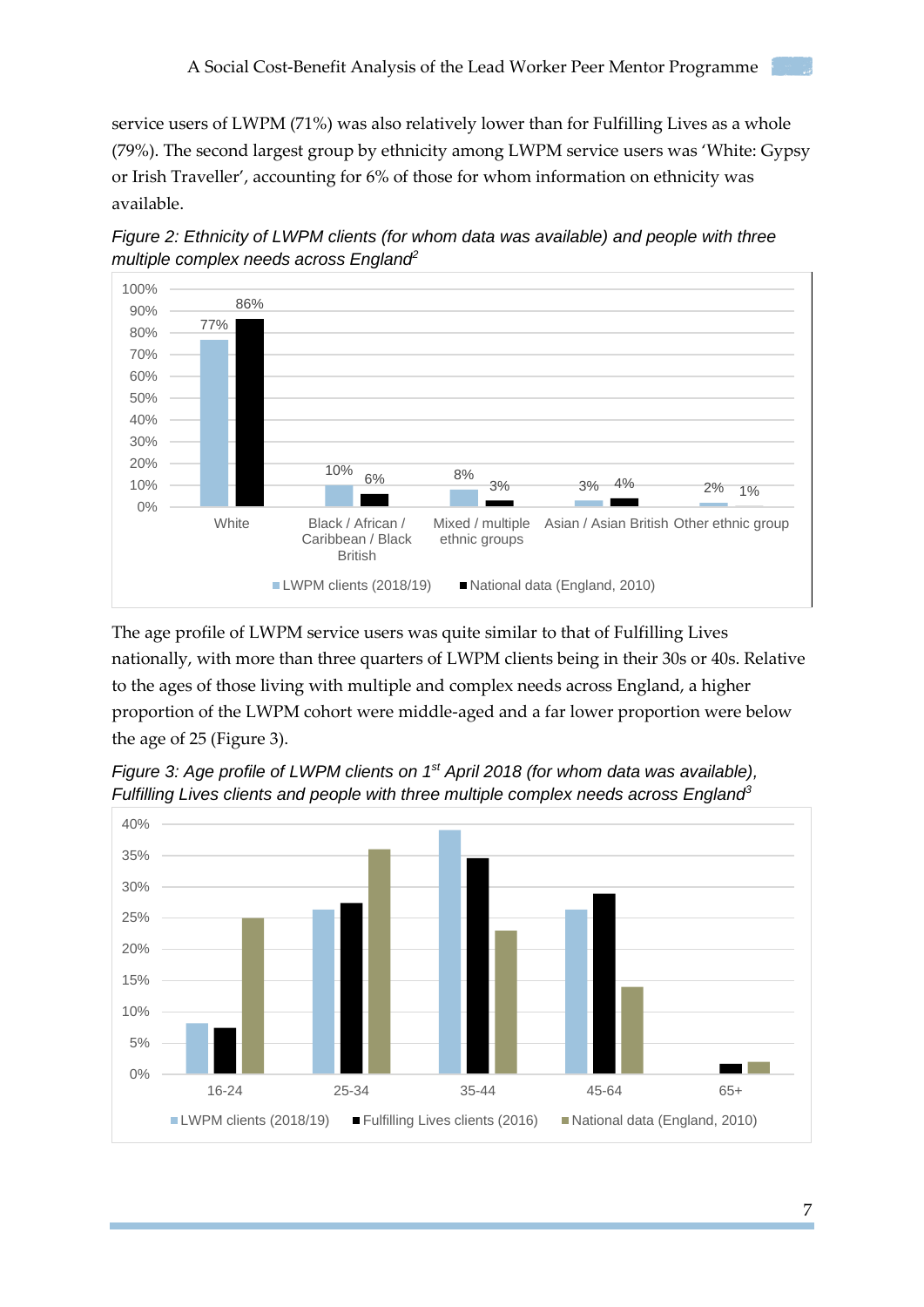service users of LWPM (71%) was also relatively lower than for Fulfilling Lives as a whole (79%). The second largest group by ethnicity among LWPM service users was 'White: Gypsy or Irish Traveller', accounting for 6% of those for whom information on ethnicity was available.





The age profile of LWPM service users was quite similar to that of Fulfilling Lives nationally, with more than three quarters of LWPM clients being in their 30s or 40s. Relative to the ages of those living with multiple and complex needs across England, a higher proportion of the LWPM cohort were middle-aged and a far lower proportion were below the age of 25 (Figure 3).



*Figure 3: Age profile of LWPM clients on 1st April 2018 (for whom data was available), Fulfilling Lives clients and people with three multiple complex needs across England<sup>3</sup>*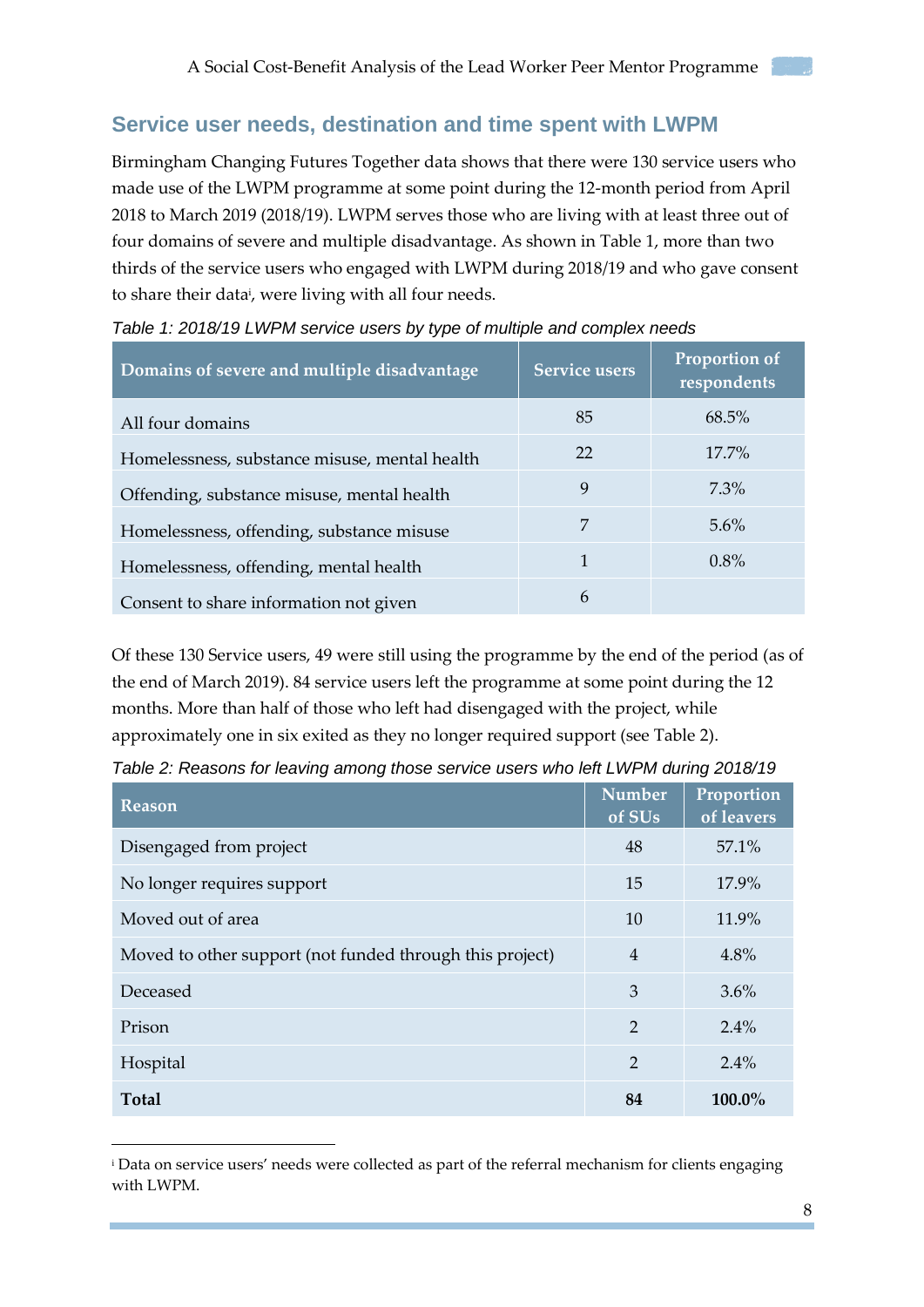### <span id="page-7-0"></span>**Service user needs, destination and time spent with LWPM**

Birmingham Changing Futures Together data shows that there were 130 service users who made use of the LWPM programme at some point during the 12-month period from April 2018 to March 2019 (2018/19). LWPM serves those who are living with at least three out of four domains of severe and multiple disadvantage. As shown in Table 1, more than two thirds of the service users who engaged with LWPM during 2018/19 and who gave consent to share their data<sup>i</sup>, were living with all four needs.

| Domains of severe and multiple disadvantage   | <b>Service users</b> | Proportion of<br>respondents |
|-----------------------------------------------|----------------------|------------------------------|
| All four domains                              | 85                   | $68.5\%$                     |
| Homelessness, substance misuse, mental health | 22                   | $17.7\%$                     |
| Offending, substance misuse, mental health    | 9                    | 7.3%                         |
| Homelessness, offending, substance misuse     | 7                    | 5.6%                         |
| Homelessness, offending, mental health        | 1                    | 0.8%                         |
| Consent to share information not given        | 6                    |                              |

| Table 1: 2018/19 LWPM service users by type of multiple and complex needs |  |  |  |
|---------------------------------------------------------------------------|--|--|--|
|---------------------------------------------------------------------------|--|--|--|

Of these 130 Service users, 49 were still using the programme by the end of the period (as of the end of March 2019). 84 service users left the programme at some point during the 12 months. More than half of those who left had disengaged with the project, while approximately one in six exited as they no longer required support (see Table 2).

| Reason                                                   | <b>Number</b><br>of SUs | Proportion<br>of leavers |
|----------------------------------------------------------|-------------------------|--------------------------|
| Disengaged from project                                  | 48                      | 57.1%                    |
| No longer requires support                               | 15                      | 17.9%                    |
| Moved out of area                                        | 10                      | 11.9%                    |
| Moved to other support (not funded through this project) | $\overline{4}$          | 4.8%                     |
| Deceased                                                 | 3                       | 3.6%                     |
| Prison                                                   | $\overline{2}$          | 2.4%                     |
| Hospital                                                 | $\overline{2}$          | 2.4%                     |
| <b>Total</b>                                             | 84                      | 100.0%                   |

*Table 2: Reasons for leaving among those service users who left LWPM during 2018/19*

-

<sup>i</sup> Data on service users' needs were collected as part of the referral mechanism for clients engaging with LWPM.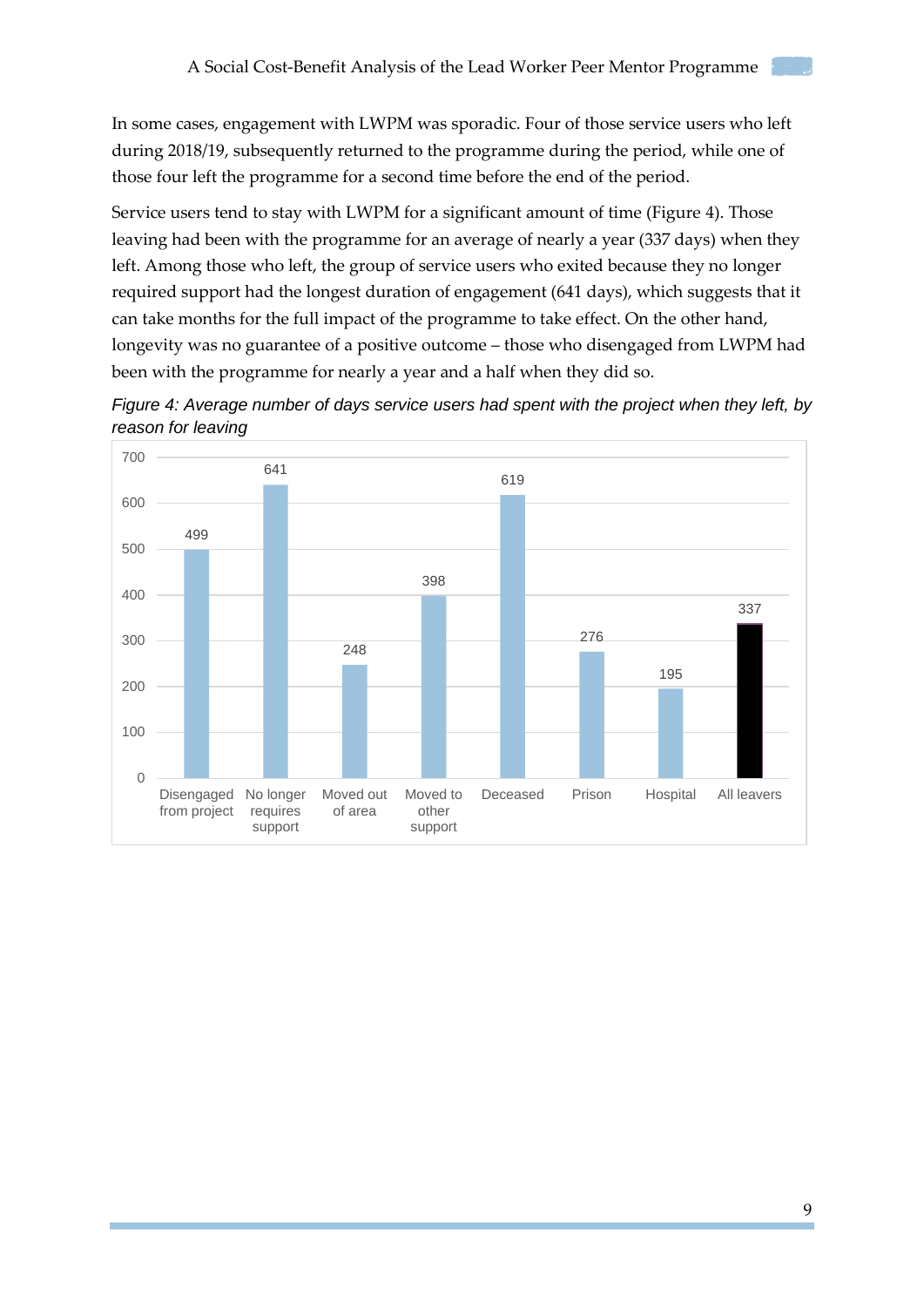In some cases, engagement with LWPM was sporadic. Four of those service users who left during 2018/19, subsequently returned to the programme during the period, while one of those four left the programme for a second time before the end of the period.

Service users tend to stay with LWPM for a significant amount of time (Figure 4). Those leaving had been with the programme for an average of nearly a year (337 days) when they left. Among those who left, the group of service users who exited because they no longer required support had the longest duration of engagement (641 days), which suggests that it can take months for the full impact of the programme to take effect. On the other hand, longevity was no guarantee of a positive outcome – those who disengaged from LWPM had been with the programme for nearly a year and a half when they did so.



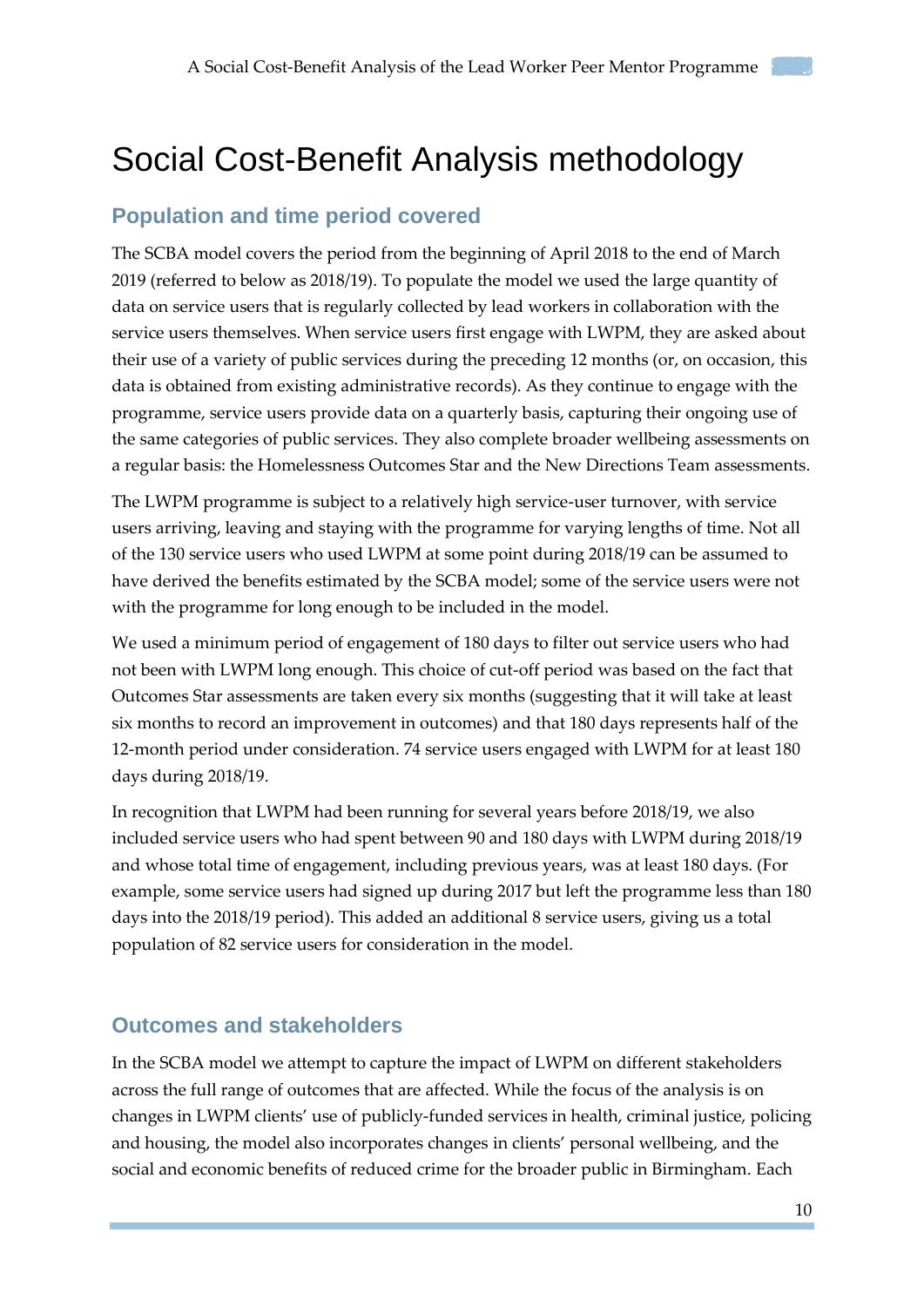## <span id="page-9-0"></span>Social Cost-Benefit Analysis methodology

### <span id="page-9-1"></span>**Population and time period covered**

The SCBA model covers the period from the beginning of April 2018 to the end of March 2019 (referred to below as 2018/19). To populate the model we used the large quantity of data on service users that is regularly collected by lead workers in collaboration with the service users themselves. When service users first engage with LWPM, they are asked about their use of a variety of public services during the preceding 12 months (or, on occasion, this data is obtained from existing administrative records). As they continue to engage with the programme, service users provide data on a quarterly basis, capturing their ongoing use of the same categories of public services. They also complete broader wellbeing assessments on a regular basis: the Homelessness Outcomes Star and the New Directions Team assessments.

The LWPM programme is subject to a relatively high service-user turnover, with service users arriving, leaving and staying with the programme for varying lengths of time. Not all of the 130 service users who used LWPM at some point during 2018/19 can be assumed to have derived the benefits estimated by the SCBA model; some of the service users were not with the programme for long enough to be included in the model.

We used a minimum period of engagement of 180 days to filter out service users who had not been with LWPM long enough. This choice of cut-off period was based on the fact that Outcomes Star assessments are taken every six months (suggesting that it will take at least six months to record an improvement in outcomes) and that 180 days represents half of the 12-month period under consideration. 74 service users engaged with LWPM for at least 180 days during 2018/19.

In recognition that LWPM had been running for several years before 2018/19, we also included service users who had spent between 90 and 180 days with LWPM during 2018/19 and whose total time of engagement, including previous years, was at least 180 days. (For example, some service users had signed up during 2017 but left the programme less than 180 days into the 2018/19 period). This added an additional 8 service users, giving us a total population of 82 service users for consideration in the model.

## <span id="page-9-2"></span>**Outcomes and stakeholders**

In the SCBA model we attempt to capture the impact of LWPM on different stakeholders across the full range of outcomes that are affected. While the focus of the analysis is on changes in LWPM clients' use of publicly-funded services in health, criminal justice, policing and housing, the model also incorporates changes in clients' personal wellbeing, and the social and economic benefits of reduced crime for the broader public in Birmingham. Each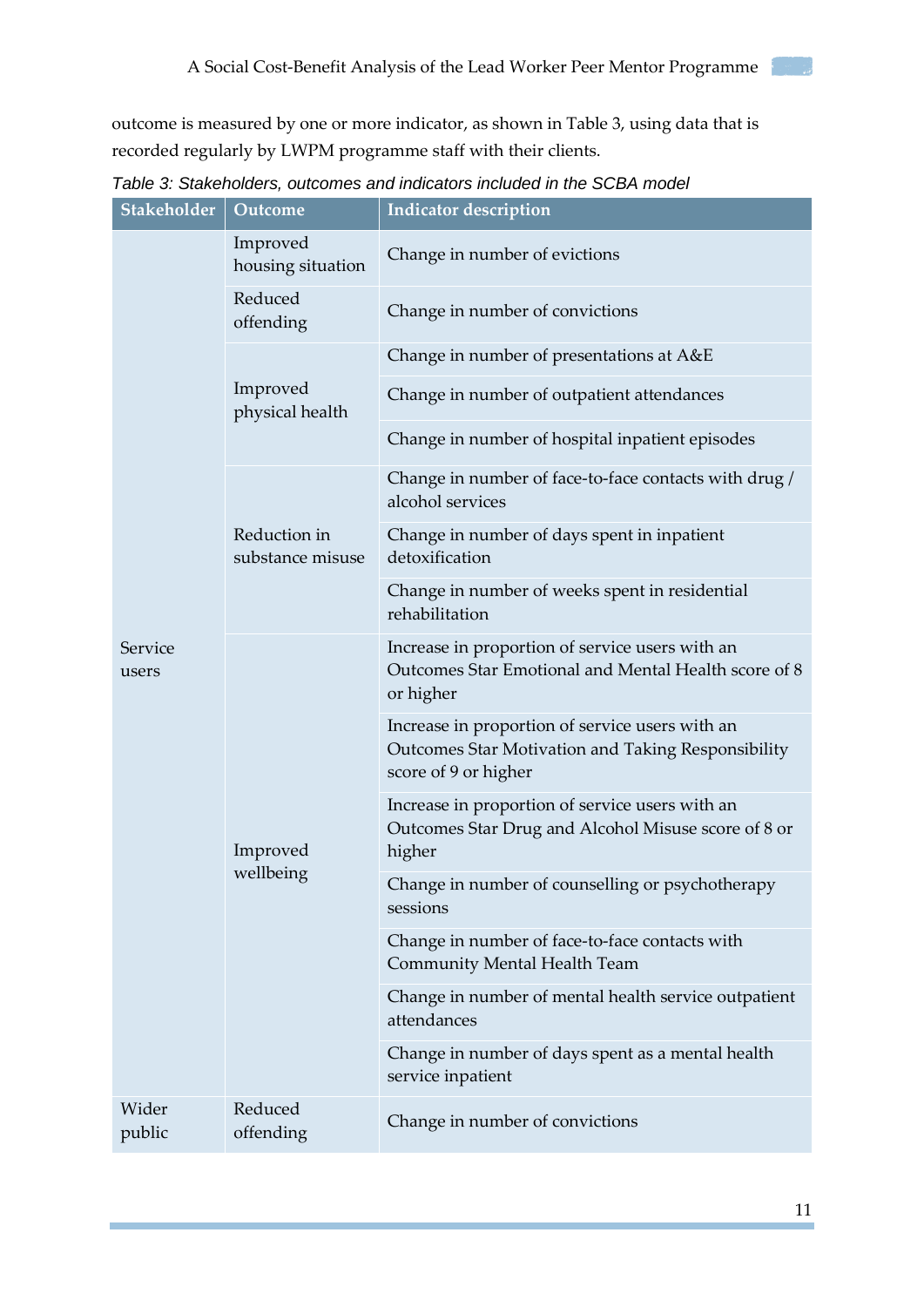outcome is measured by one or more indicator, as shown in Table 3, using data that is recorded regularly by LWPM programme staff with their clients.

| Stakeholder      | Outcome                          | <b>Indicator description</b>                                                                                                  |
|------------------|----------------------------------|-------------------------------------------------------------------------------------------------------------------------------|
|                  | Improved<br>housing situation    | Change in number of evictions                                                                                                 |
|                  | Reduced<br>offending             | Change in number of convictions                                                                                               |
|                  |                                  | Change in number of presentations at A&E                                                                                      |
|                  | Improved<br>physical health      | Change in number of outpatient attendances                                                                                    |
|                  |                                  | Change in number of hospital inpatient episodes                                                                               |
|                  |                                  | Change in number of face-to-face contacts with drug /<br>alcohol services                                                     |
|                  | Reduction in<br>substance misuse | Change in number of days spent in inpatient<br>detoxification                                                                 |
|                  |                                  | Change in number of weeks spent in residential<br>rehabilitation                                                              |
| Service<br>users | Improved<br>wellbeing            | Increase in proportion of service users with an<br>Outcomes Star Emotional and Mental Health score of 8<br>or higher          |
|                  |                                  | Increase in proportion of service users with an<br>Outcomes Star Motivation and Taking Responsibility<br>score of 9 or higher |
|                  |                                  | Increase in proportion of service users with an<br>Outcomes Star Drug and Alcohol Misuse score of 8 or<br>higher              |
|                  |                                  | Change in number of counselling or psychotherapy<br>sessions                                                                  |
|                  |                                  | Change in number of face-to-face contacts with<br><b>Community Mental Health Team</b>                                         |
|                  |                                  | Change in number of mental health service outpatient<br>attendances                                                           |
|                  |                                  | Change in number of days spent as a mental health<br>service inpatient                                                        |
| Wider<br>public  | Reduced<br>offending             | Change in number of convictions                                                                                               |

*Table 3: Stakeholders, outcomes and indicators included in the SCBA model*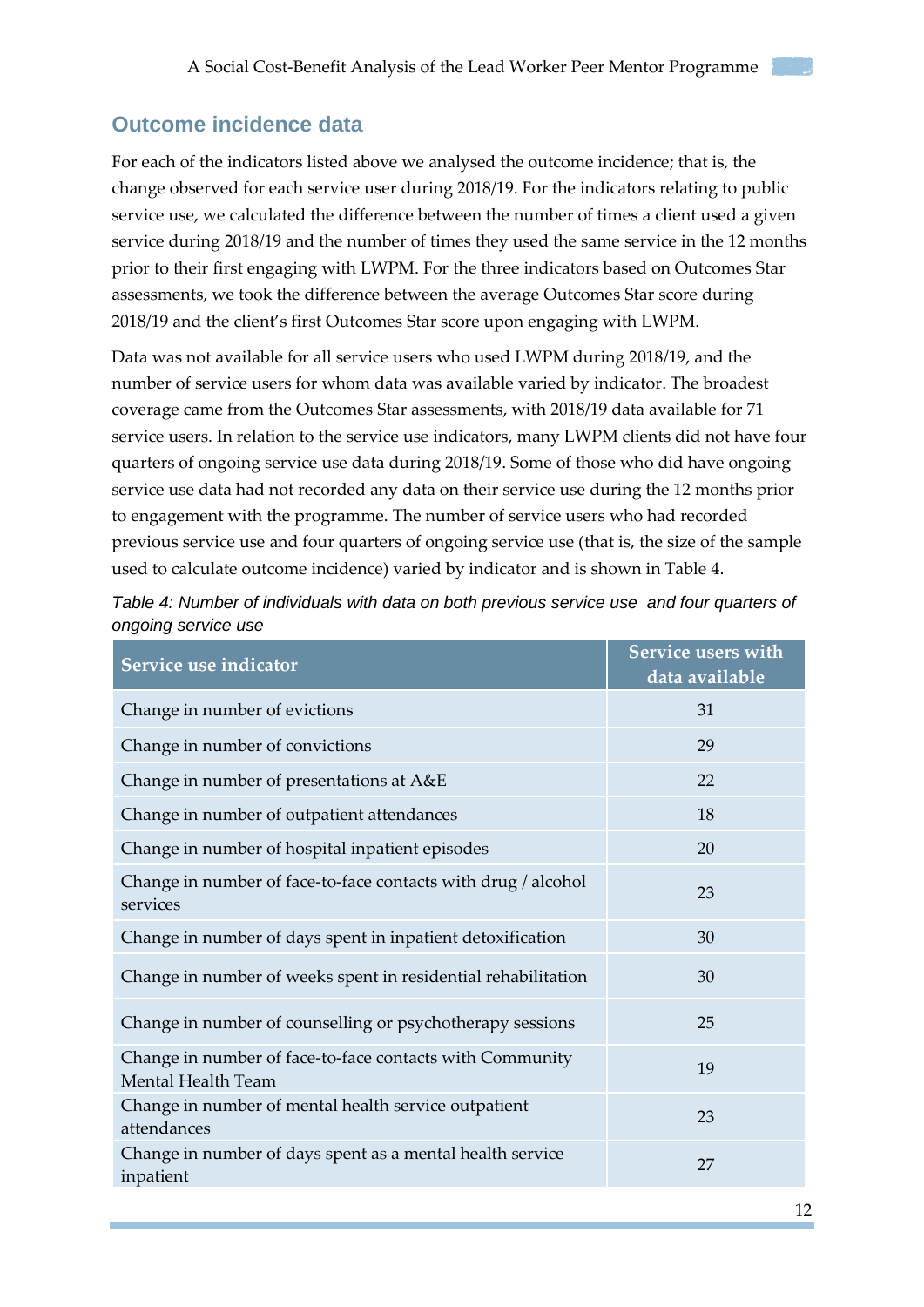#### <span id="page-11-0"></span>**Outcome incidence data**

For each of the indicators listed above we analysed the outcome incidence; that is, the change observed for each service user during 2018/19. For the indicators relating to public service use, we calculated the difference between the number of times a client used a given service during 2018/19 and the number of times they used the same service in the 12 months prior to their first engaging with LWPM. For the three indicators based on Outcomes Star assessments, we took the difference between the average Outcomes Star score during 2018/19 and the client's first Outcomes Star score upon engaging with LWPM.

Data was not available for all service users who used LWPM during 2018/19, and the number of service users for whom data was available varied by indicator. The broadest coverage came from the Outcomes Star assessments, with 2018/19 data available for 71 service users. In relation to the service use indicators, many LWPM clients did not have four quarters of ongoing service use data during 2018/19. Some of those who did have ongoing service use data had not recorded any data on their service use during the 12 months prior to engagement with the programme. The number of service users who had recorded previous service use and four quarters of ongoing service use (that is, the size of the sample used to calculate outcome incidence) varied by indicator and is shown in Table 4.

| Service use indicator                                                          | <b>Service users with</b><br>data available |
|--------------------------------------------------------------------------------|---------------------------------------------|
| Change in number of evictions                                                  | 31                                          |
| Change in number of convictions                                                | 29                                          |
| Change in number of presentations at A&E                                       | 22                                          |
| Change in number of outpatient attendances                                     | 18                                          |
| Change in number of hospital inpatient episodes                                | 20                                          |
| Change in number of face-to-face contacts with drug / alcohol<br>services      | 23                                          |
| Change in number of days spent in inpatient detoxification                     | 30                                          |
| Change in number of weeks spent in residential rehabilitation                  | 30                                          |
| Change in number of counselling or psychotherapy sessions                      | 25                                          |
| Change in number of face-to-face contacts with Community<br>Mental Health Team | 19                                          |
| Change in number of mental health service outpatient<br>attendances            | 23                                          |
| Change in number of days spent as a mental health service<br>inpatient         | 27                                          |

*Table 4: Number of individuals with data on both previous service use and four quarters of ongoing service use*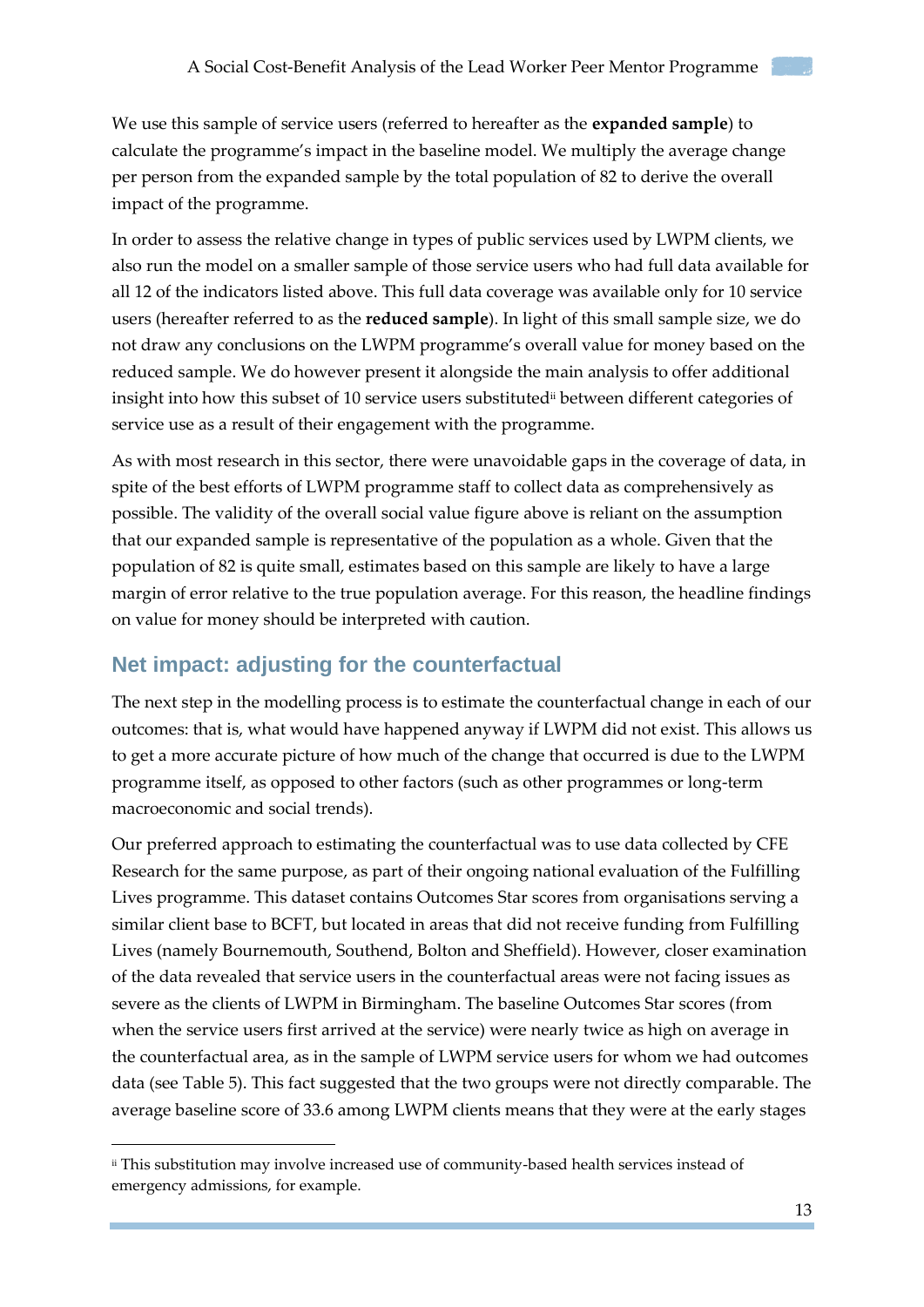We use this sample of service users (referred to hereafter as the **expanded sample**) to calculate the programme's impact in the baseline model. We multiply the average change per person from the expanded sample by the total population of 82 to derive the overall impact of the programme.

In order to assess the relative change in types of public services used by LWPM clients, we also run the model on a smaller sample of those service users who had full data available for all 12 of the indicators listed above. This full data coverage was available only for 10 service users (hereafter referred to as the **reduced sample**). In light of this small sample size, we do not draw any conclusions on the LWPM programme's overall value for money based on the reduced sample. We do however present it alongside the main analysis to offer additional insight into how this subset of 10 service users substitutedii between different categories of service use as a result of their engagement with the programme.

As with most research in this sector, there were unavoidable gaps in the coverage of data, in spite of the best efforts of LWPM programme staff to collect data as comprehensively as possible. The validity of the overall social value figure above is reliant on the assumption that our expanded sample is representative of the population as a whole. Given that the population of 82 is quite small, estimates based on this sample are likely to have a large margin of error relative to the true population average. For this reason, the headline findings on value for money should be interpreted with caution.

### <span id="page-12-0"></span>**Net impact: adjusting for the counterfactual**

-

The next step in the modelling process is to estimate the counterfactual change in each of our outcomes: that is, what would have happened anyway if LWPM did not exist. This allows us to get a more accurate picture of how much of the change that occurred is due to the LWPM programme itself, as opposed to other factors (such as other programmes or long-term macroeconomic and social trends).

Our preferred approach to estimating the counterfactual was to use data collected by CFE Research for the same purpose, as part of their ongoing national evaluation of the Fulfilling Lives programme. This dataset contains Outcomes Star scores from organisations serving a similar client base to BCFT, but located in areas that did not receive funding from Fulfilling Lives (namely Bournemouth, Southend, Bolton and Sheffield). However, closer examination of the data revealed that service users in the counterfactual areas were not facing issues as severe as the clients of LWPM in Birmingham. The baseline Outcomes Star scores (from when the service users first arrived at the service) were nearly twice as high on average in the counterfactual area, as in the sample of LWPM service users for whom we had outcomes data (see Table 5). This fact suggested that the two groups were not directly comparable. The average baseline score of 33.6 among LWPM clients means that they were at the early stages

ii This substitution may involve increased use of community-based health services instead of emergency admissions, for example.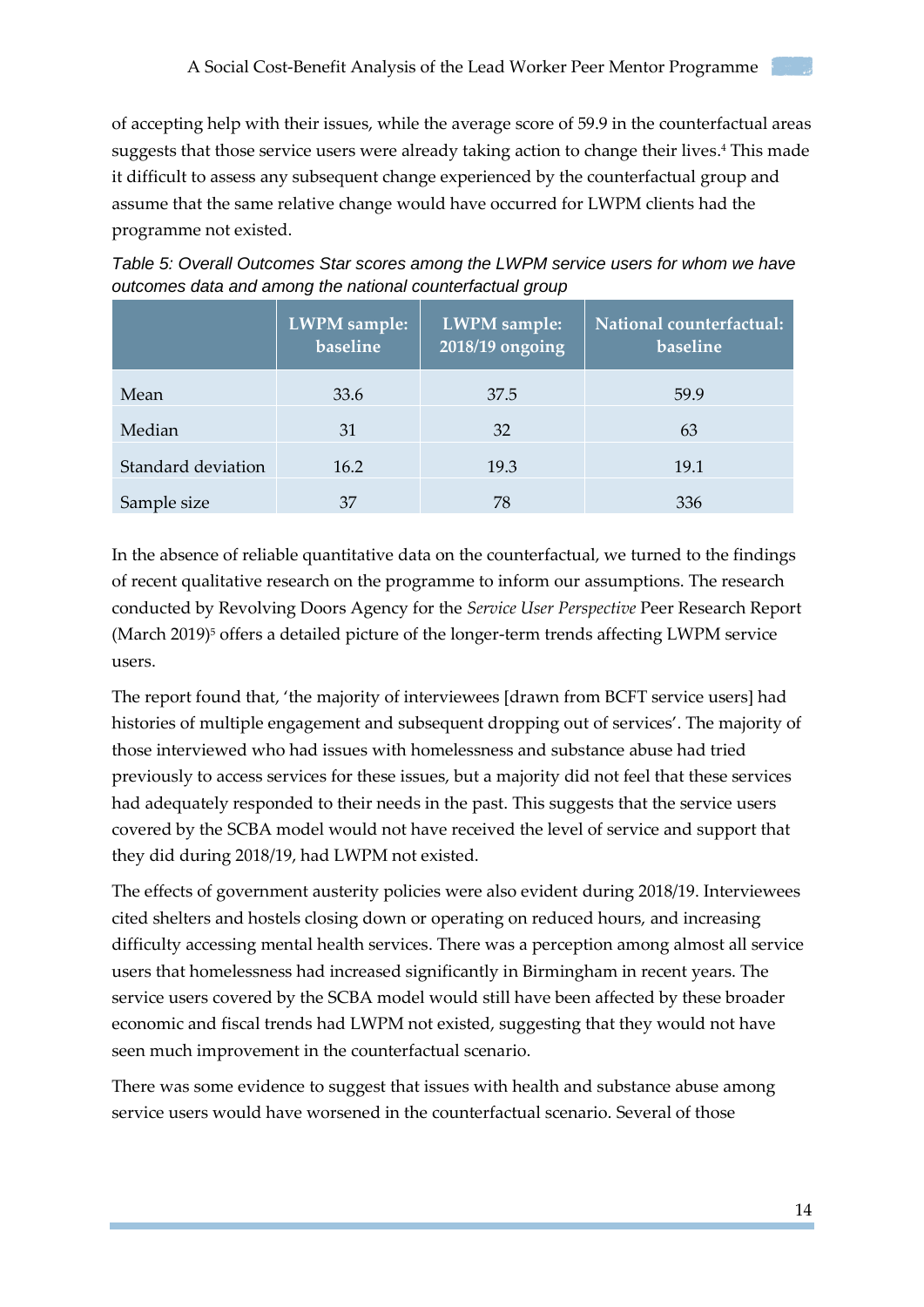of accepting help with their issues, while the average score of 59.9 in the counterfactual areas suggests that those service users were already taking action to change their lives. <sup>4</sup> This made it difficult to assess any subsequent change experienced by the counterfactual group and assume that the same relative change would have occurred for LWPM clients had the programme not existed.

| Table 5: Overall Outcomes Star scores among the LWPM service users for whom we have |  |  |  |  |  |
|-------------------------------------------------------------------------------------|--|--|--|--|--|
| outcomes data and among the national counterfactual group                           |  |  |  |  |  |
|                                                                                     |  |  |  |  |  |

|                    | LWPM sample:<br>baseline | LWPM sample:<br>2018/19 ongoing | National counterfactual:<br>baseline |
|--------------------|--------------------------|---------------------------------|--------------------------------------|
| Mean               | 33.6                     | 37.5                            | 59.9                                 |
| Median             | 31                       | 32                              | 63                                   |
| Standard deviation | 16.2                     | 19.3                            | 19.1                                 |
| Sample size        | 37                       | 78                              | 336                                  |

In the absence of reliable quantitative data on the counterfactual, we turned to the findings of recent qualitative research on the programme to inform our assumptions. The research conducted by Revolving Doors Agency for the *Service User Perspective* Peer Research Report (March 2019)<sup>5</sup> offers a detailed picture of the longer-term trends affecting LWPM service users.

The report found that, 'the majority of interviewees [drawn from BCFT service users] had histories of multiple engagement and subsequent dropping out of services'. The majority of those interviewed who had issues with homelessness and substance abuse had tried previously to access services for these issues, but a majority did not feel that these services had adequately responded to their needs in the past. This suggests that the service users covered by the SCBA model would not have received the level of service and support that they did during 2018/19, had LWPM not existed.

The effects of government austerity policies were also evident during 2018/19. Interviewees cited shelters and hostels closing down or operating on reduced hours, and increasing difficulty accessing mental health services. There was a perception among almost all service users that homelessness had increased significantly in Birmingham in recent years. The service users covered by the SCBA model would still have been affected by these broader economic and fiscal trends had LWPM not existed, suggesting that they would not have seen much improvement in the counterfactual scenario.

There was some evidence to suggest that issues with health and substance abuse among service users would have worsened in the counterfactual scenario. Several of those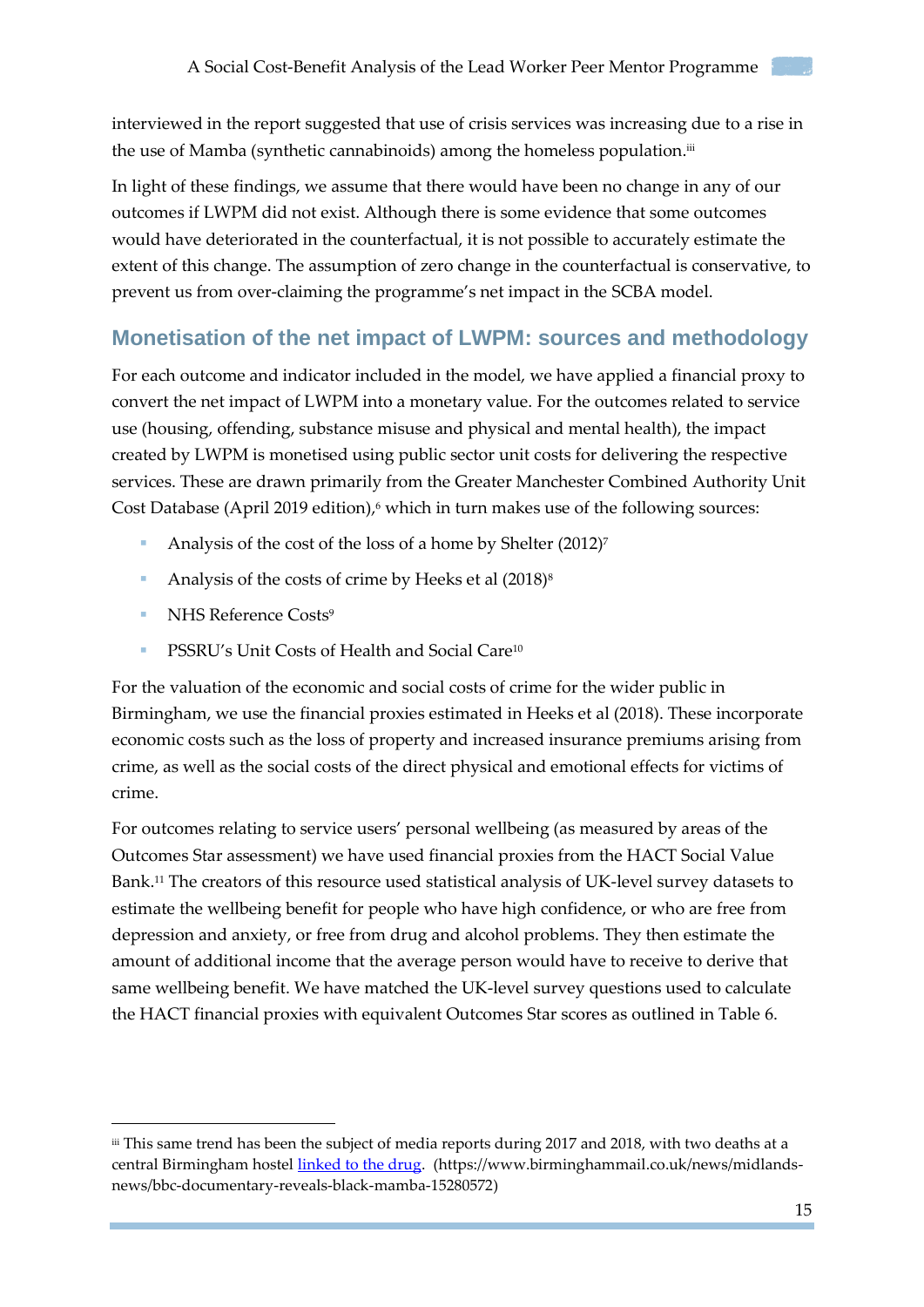interviewed in the report suggested that use of crisis services was increasing due to a rise in the use of Mamba (synthetic cannabinoids) among the homeless population.iii

In light of these findings, we assume that there would have been no change in any of our outcomes if LWPM did not exist. Although there is some evidence that some outcomes would have deteriorated in the counterfactual, it is not possible to accurately estimate the extent of this change. The assumption of zero change in the counterfactual is conservative, to prevent us from over-claiming the programme's net impact in the SCBA model.

### <span id="page-14-0"></span>**Monetisation of the net impact of LWPM: sources and methodology**

For each outcome and indicator included in the model, we have applied a financial proxy to convert the net impact of LWPM into a monetary value. For the outcomes related to service use (housing, offending, substance misuse and physical and mental health), the impact created by LWPM is monetised using public sector unit costs for delivering the respective services. These are drawn primarily from the Greater Manchester Combined Authority Unit Cost Database (April 2019 edition), <sup>6</sup> which in turn makes use of the following sources:

- Analysis of the cost of the loss of a home by Shelter  $(2012)^7$
- Analysis of the costs of crime by Heeks et al  $(2018)^8$
- NHS Reference Costs<sup>9</sup>

-

**PSSRU's Unit Costs of Health and Social Care**<sup>10</sup>

For the valuation of the economic and social costs of crime for the wider public in Birmingham, we use the financial proxies estimated in Heeks et al (2018). These incorporate economic costs such as the loss of property and increased insurance premiums arising from crime, as well as the social costs of the direct physical and emotional effects for victims of crime.

For outcomes relating to service users' personal wellbeing (as measured by areas of the Outcomes Star assessment) we have used financial proxies from the HACT Social Value Bank. <sup>11</sup> The creators of this resource used statistical analysis of UK-level survey datasets to estimate the wellbeing benefit for people who have high confidence, or who are free from depression and anxiety, or free from drug and alcohol problems. They then estimate the amount of additional income that the average person would have to receive to derive that same wellbeing benefit. We have matched the UK-level survey questions used to calculate the HACT financial proxies with equivalent Outcomes Star scores as outlined in Table 6.

iii This same trend has been the subject of media reports during 2017 and 2018, with two deaths at a central Birmingham hostel [linked to the drug.](https://www.birminghammail.co.uk/news/midlands-news/bbc-documentary-reveals-black-mamba-15280572) (https://www.birminghammail.co.uk/news/midlandsnews/bbc-documentary-reveals-black-mamba-15280572)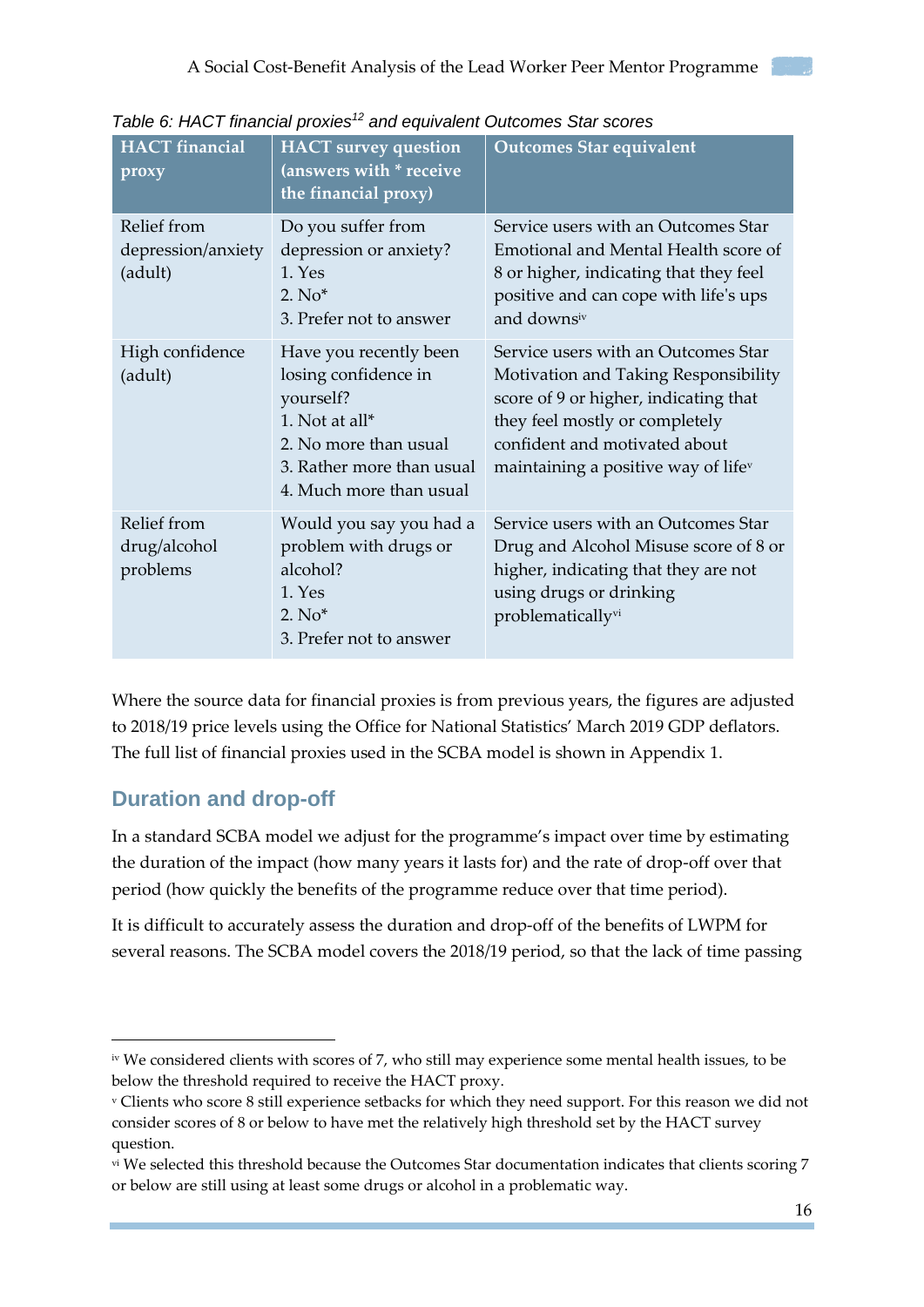| <b>HACT</b> financial<br>proxy               | <b>HACT</b> survey question<br>(answers with * receive<br>the financial proxy)                                                                                 | <b>Outcomes Star equivalent</b>                                                                                                                                                                                                            |
|----------------------------------------------|----------------------------------------------------------------------------------------------------------------------------------------------------------------|--------------------------------------------------------------------------------------------------------------------------------------------------------------------------------------------------------------------------------------------|
| Relief from<br>depression/anxiety<br>(adult) | Do you suffer from<br>depression or anxiety?<br>1. Yes<br>$2. No*$<br>3. Prefer not to answer                                                                  | Service users with an Outcomes Star<br>Emotional and Mental Health score of<br>8 or higher, indicating that they feel<br>positive and can cope with life's ups<br>and downsiv                                                              |
| High confidence<br>(adult)                   | Have you recently been<br>losing confidence in<br>yourself?<br>1. Not at all*<br>2. No more than usual<br>3. Rather more than usual<br>4. Much more than usual | Service users with an Outcomes Star<br>Motivation and Taking Responsibility<br>score of 9 or higher, indicating that<br>they feel mostly or completely<br>confident and motivated about<br>maintaining a positive way of life <sup>v</sup> |
| Relief from<br>drug/alcohol<br>problems      | Would you say you had a<br>problem with drugs or<br>alcohol?<br>1. Yes<br>$2. No*$<br>3. Prefer not to answer                                                  | Service users with an Outcomes Star<br>Drug and Alcohol Misuse score of 8 or<br>higher, indicating that they are not<br>using drugs or drinking<br>problematicallyvi                                                                       |

*Table 6: HACT financial proxies<sup>12</sup> and equivalent Outcomes Star scores*

Where the source data for financial proxies is from previous years, the figures are adjusted to 2018/19 price levels using the Office for National Statistics' March 2019 GDP deflators. The full list of financial proxies used in the SCBA model is shown in Appendix 1.

## <span id="page-15-0"></span>**Duration and drop-off**

-

In a standard SCBA model we adjust for the programme's impact over time by estimating the duration of the impact (how many years it lasts for) and the rate of drop-off over that period (how quickly the benefits of the programme reduce over that time period).

It is difficult to accurately assess the duration and drop-off of the benefits of LWPM for several reasons. The SCBA model covers the 2018/19 period, so that the lack of time passing

iv We considered clients with scores of 7, who still may experience some mental health issues, to be below the threshold required to receive the HACT proxy.

<sup>v</sup> Clients who score 8 still experience setbacks for which they need support. For this reason we did not consider scores of 8 or below to have met the relatively high threshold set by the HACT survey question.

vi We selected this threshold because the Outcomes Star documentation indicates that clients scoring 7 or below are still using at least some drugs or alcohol in a problematic way.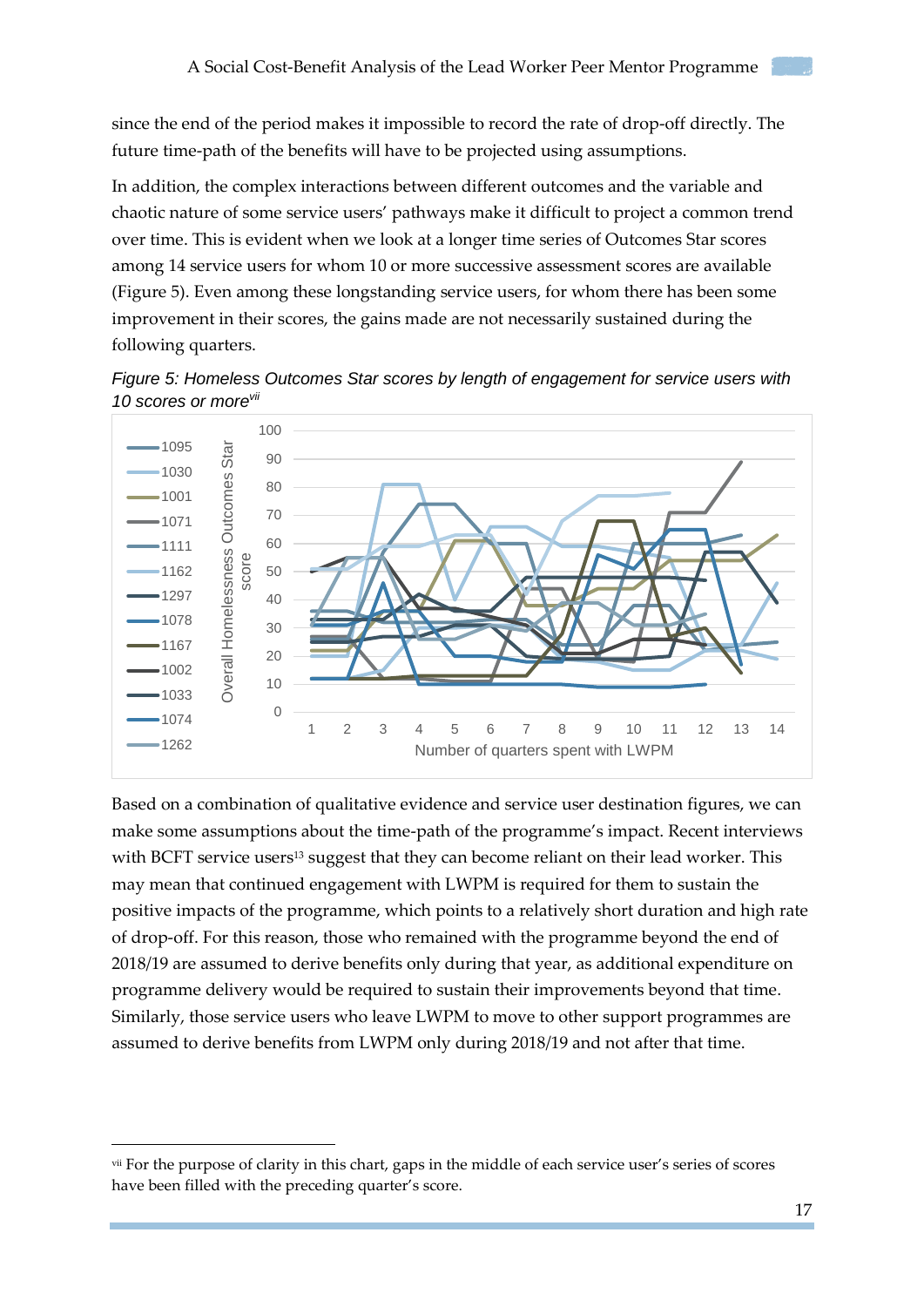since the end of the period makes it impossible to record the rate of drop-off directly. The future time-path of the benefits will have to be projected using assumptions.

In addition, the complex interactions between different outcomes and the variable and chaotic nature of some service users' pathways make it difficult to project a common trend over time. This is evident when we look at a longer time series of Outcomes Star scores among 14 service users for whom 10 or more successive assessment scores are available (Figure 5). Even among these longstanding service users, for whom there has been some improvement in their scores, the gains made are not necessarily sustained during the following quarters.





Based on a combination of qualitative evidence and service user destination figures, we can make some assumptions about the time-path of the programme's impact. Recent interviews with BCFT service users<sup>13</sup> suggest that they can become reliant on their lead worker. This may mean that continued engagement with LWPM is required for them to sustain the positive impacts of the programme, which points to a relatively short duration and high rate of drop-off. For this reason, those who remained with the programme beyond the end of 2018/19 are assumed to derive benefits only during that year, as additional expenditure on programme delivery would be required to sustain their improvements beyond that time. Similarly, those service users who leave LWPM to move to other support programmes are assumed to derive benefits from LWPM only during 2018/19 and not after that time.

-

vii For the purpose of clarity in this chart, gaps in the middle of each service user's series of scores have been filled with the preceding quarter's score.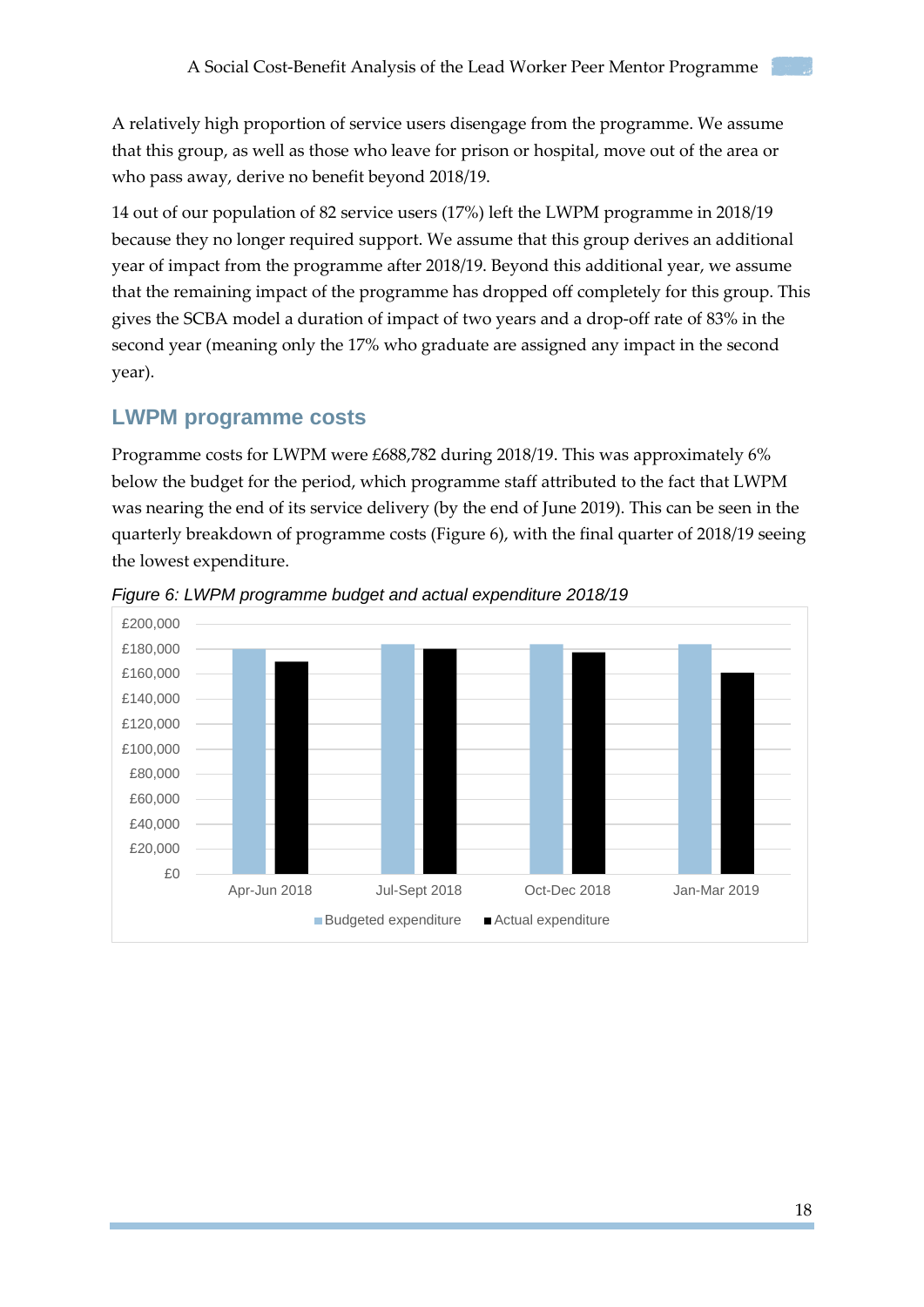A relatively high proportion of service users disengage from the programme. We assume that this group, as well as those who leave for prison or hospital, move out of the area or who pass away, derive no benefit beyond 2018/19.

14 out of our population of 82 service users (17%) left the LWPM programme in 2018/19 because they no longer required support. We assume that this group derives an additional year of impact from the programme after 2018/19. Beyond this additional year, we assume that the remaining impact of the programme has dropped off completely for this group. This gives the SCBA model a duration of impact of two years and a drop-off rate of 83% in the second year (meaning only the 17% who graduate are assigned any impact in the second year).

#### <span id="page-17-0"></span>**LWPM programme costs**

Programme costs for LWPM were £688,782 during 2018/19. This was approximately 6% below the budget for the period, which programme staff attributed to the fact that LWPM was nearing the end of its service delivery (by the end of June 2019). This can be seen in the quarterly breakdown of programme costs (Figure 6), with the final quarter of 2018/19 seeing the lowest expenditure.



*Figure 6: LWPM programme budget and actual expenditure 2018/19*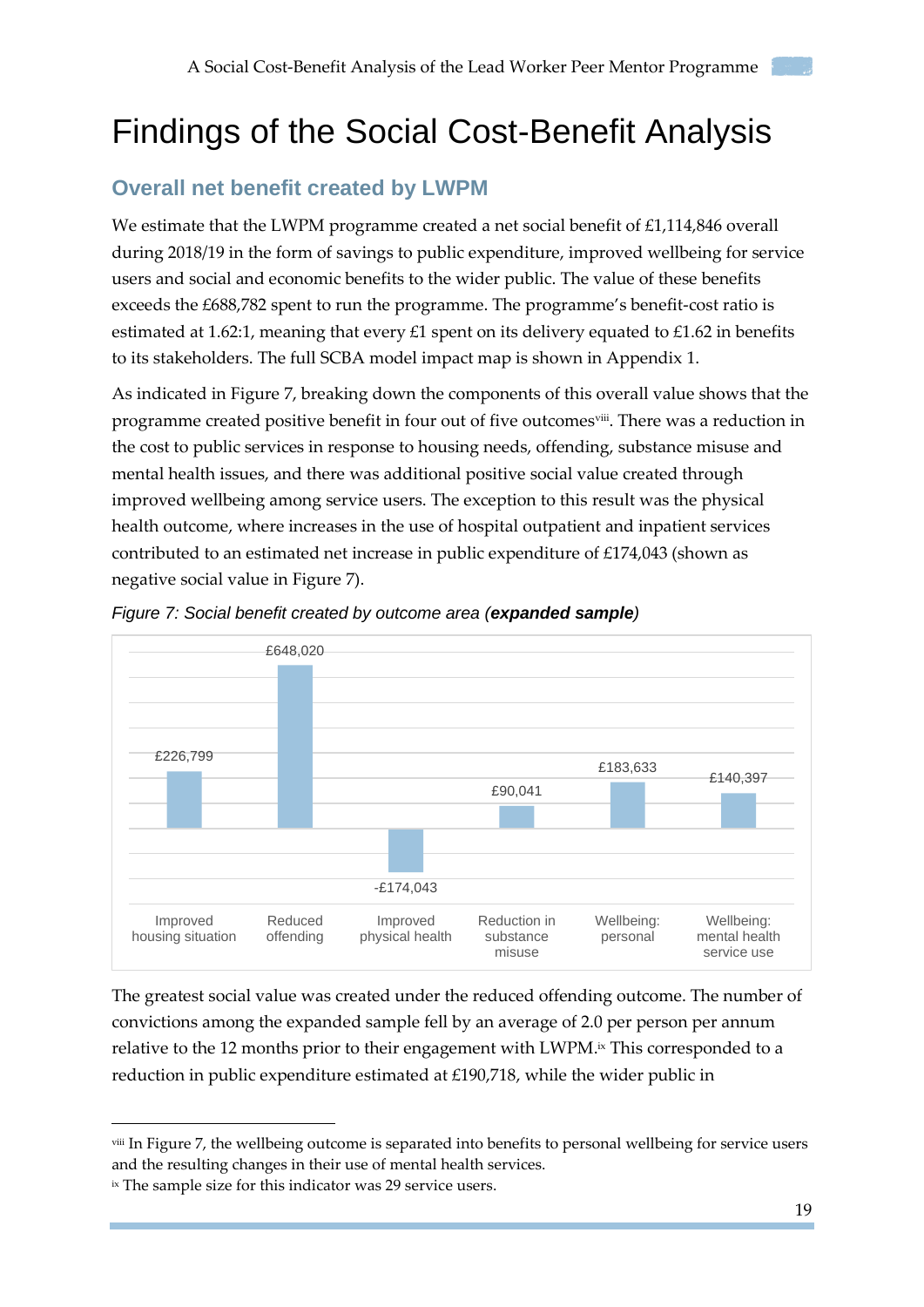## <span id="page-18-0"></span>Findings of the Social Cost-Benefit Analysis

### <span id="page-18-1"></span>**Overall net benefit created by LWPM**

We estimate that the LWPM programme created a net social benefit of £1,114,846 overall during 2018/19 in the form of savings to public expenditure, improved wellbeing for service users and social and economic benefits to the wider public. The value of these benefits exceeds the £688,782 spent to run the programme. The programme's benefit-cost ratio is estimated at 1.62:1, meaning that every £1 spent on its delivery equated to £1.62 in benefits to its stakeholders. The full SCBA model impact map is shown in Appendix 1.

As indicated in Figure 7, breaking down the components of this overall value shows that the programme created positive benefit in four out of five outcomesviii. There was a reduction in the cost to public services in response to housing needs, offending, substance misuse and mental health issues, and there was additional positive social value created through improved wellbeing among service users. The exception to this result was the physical health outcome, where increases in the use of hospital outpatient and inpatient services contributed to an estimated net increase in public expenditure of £174,043 (shown as negative social value in Figure 7).





The greatest social value was created under the reduced offending outcome. The number of convictions among the expanded sample fell by an average of 2.0 per person per annum relative to the 12 months prior to their engagement with LWPM. ix This corresponded to a reduction in public expenditure estimated at £190,718, while the wider public in

-

viii In Figure 7, the wellbeing outcome is separated into benefits to personal wellbeing for service users and the resulting changes in their use of mental health services.

ix The sample size for this indicator was 29 service users.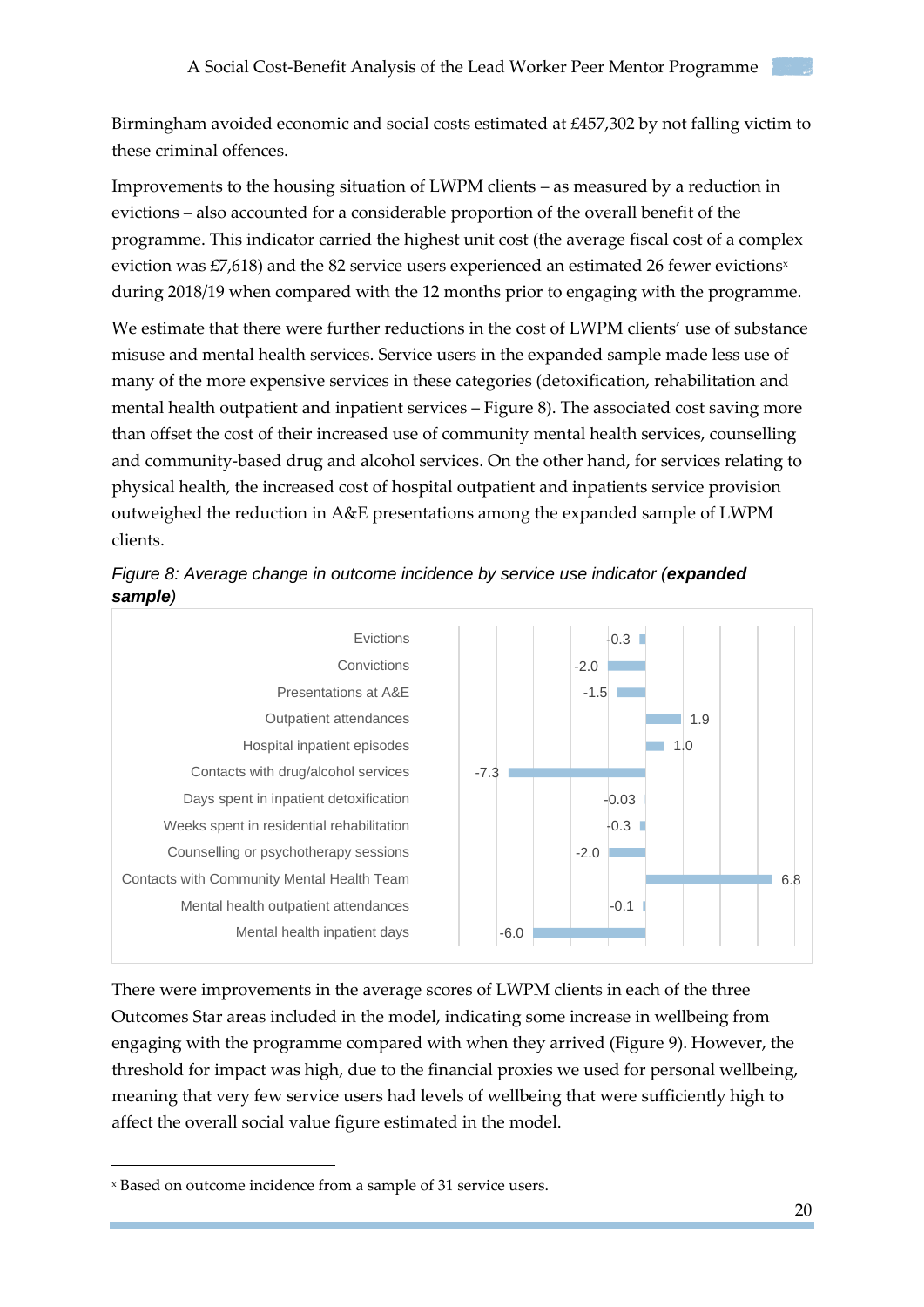Birmingham avoided economic and social costs estimated at £457,302 by not falling victim to these criminal offences.

Improvements to the housing situation of LWPM clients – as measured by a reduction in evictions – also accounted for a considerable proportion of the overall benefit of the programme. This indicator carried the highest unit cost (the average fiscal cost of a complex eviction was  $E7,618$ ) and the 82 service users experienced an estimated 26 fewer evictions<sup>x</sup> during 2018/19 when compared with the 12 months prior to engaging with the programme.

We estimate that there were further reductions in the cost of LWPM clients' use of substance misuse and mental health services. Service users in the expanded sample made less use of many of the more expensive services in these categories (detoxification, rehabilitation and mental health outpatient and inpatient services – Figure 8). The associated cost saving more than offset the cost of their increased use of community mental health services, counselling and community-based drug and alcohol services. On the other hand, for services relating to physical health, the increased cost of hospital outpatient and inpatients service provision outweighed the reduction in A&E presentations among the expanded sample of LWPM clients.





There were improvements in the average scores of LWPM clients in each of the three Outcomes Star areas included in the model, indicating some increase in wellbeing from engaging with the programme compared with when they arrived (Figure 9). However, the threshold for impact was high, due to the financial proxies we used for personal wellbeing, meaning that very few service users had levels of wellbeing that were sufficiently high to affect the overall social value figure estimated in the model.

-

<sup>x</sup> Based on outcome incidence from a sample of 31 service users.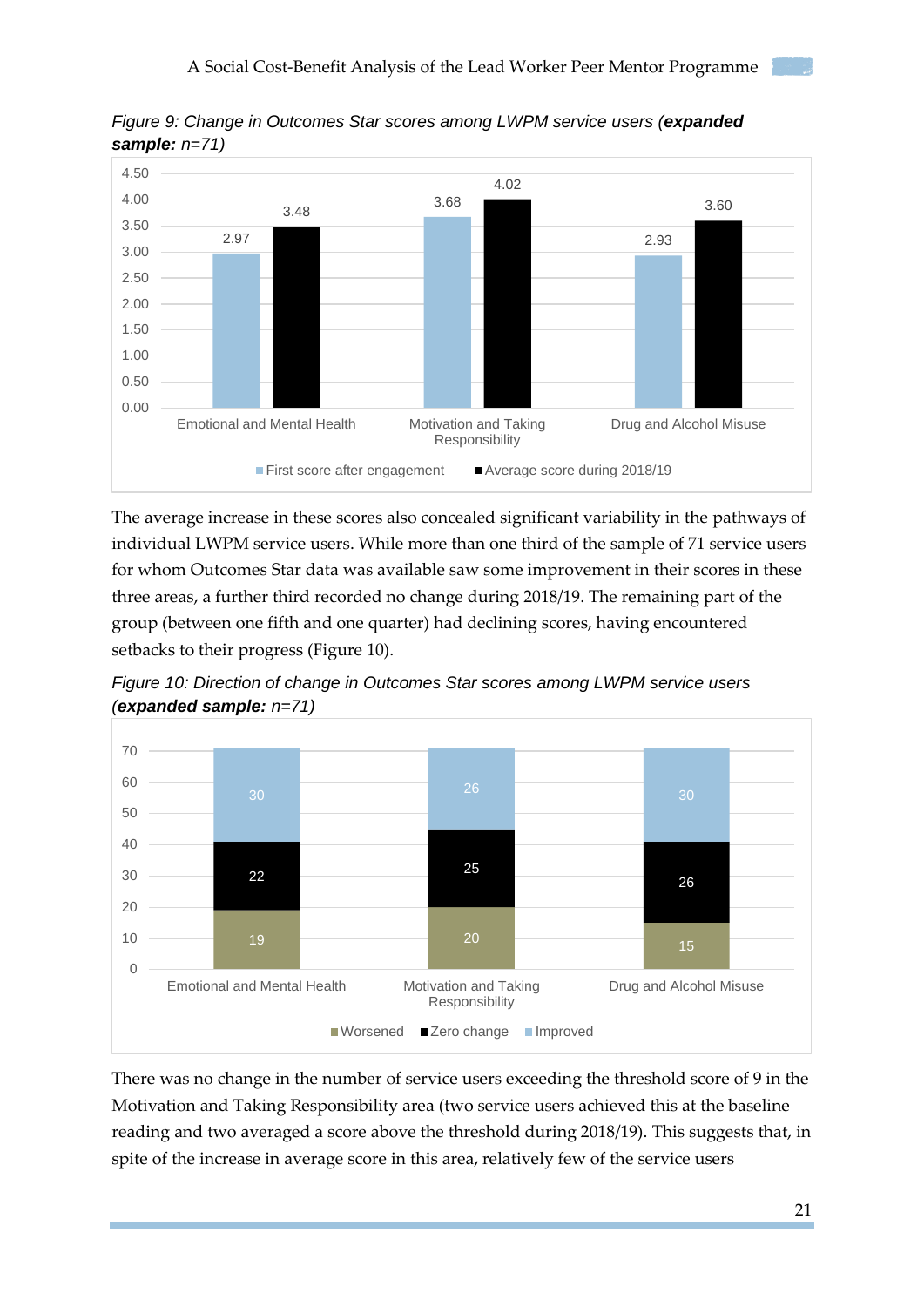

*Figure 9: Change in Outcomes Star scores among LWPM service users (expanded sample: n=71)*

The average increase in these scores also concealed significant variability in the pathways of individual LWPM service users. While more than one third of the sample of 71 service users for whom Outcomes Star data was available saw some improvement in their scores in these three areas, a further third recorded no change during 2018/19. The remaining part of the group (between one fifth and one quarter) had declining scores, having encountered setbacks to their progress (Figure 10).





There was no change in the number of service users exceeding the threshold score of 9 in the Motivation and Taking Responsibility area (two service users achieved this at the baseline reading and two averaged a score above the threshold during 2018/19). This suggests that, in spite of the increase in average score in this area, relatively few of the service users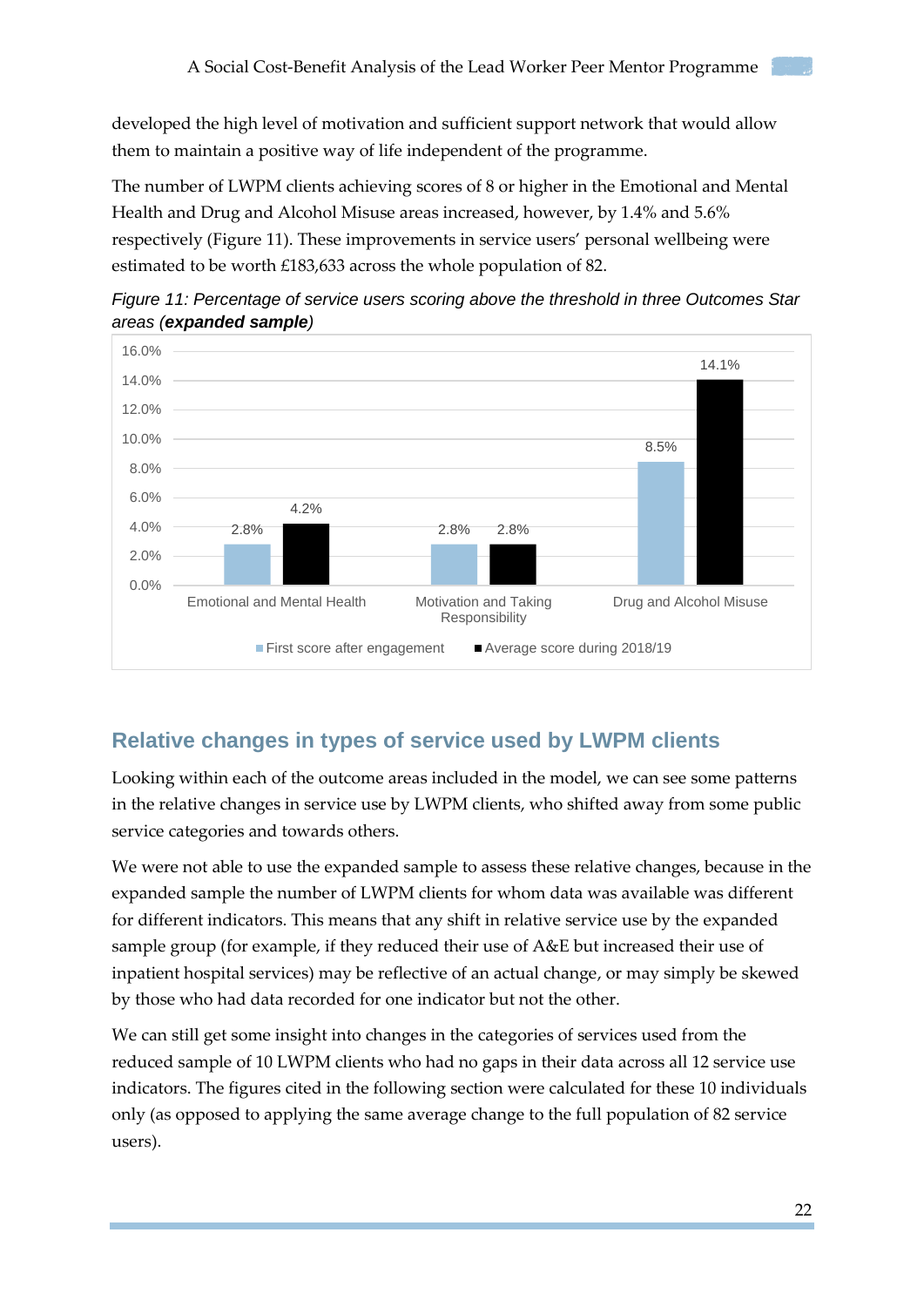developed the high level of motivation and sufficient support network that would allow them to maintain a positive way of life independent of the programme.

The number of LWPM clients achieving scores of 8 or higher in the Emotional and Mental Health and Drug and Alcohol Misuse areas increased, however, by 1.4% and 5.6% respectively (Figure 11). These improvements in service users' personal wellbeing were estimated to be worth £183,633 across the whole population of 82.





## <span id="page-21-0"></span>**Relative changes in types of service used by LWPM clients**

Looking within each of the outcome areas included in the model, we can see some patterns in the relative changes in service use by LWPM clients, who shifted away from some public service categories and towards others.

We were not able to use the expanded sample to assess these relative changes, because in the expanded sample the number of LWPM clients for whom data was available was different for different indicators. This means that any shift in relative service use by the expanded sample group (for example, if they reduced their use of A&E but increased their use of inpatient hospital services) may be reflective of an actual change, or may simply be skewed by those who had data recorded for one indicator but not the other.

We can still get some insight into changes in the categories of services used from the reduced sample of 10 LWPM clients who had no gaps in their data across all 12 service use indicators. The figures cited in the following section were calculated for these 10 individuals only (as opposed to applying the same average change to the full population of 82 service users).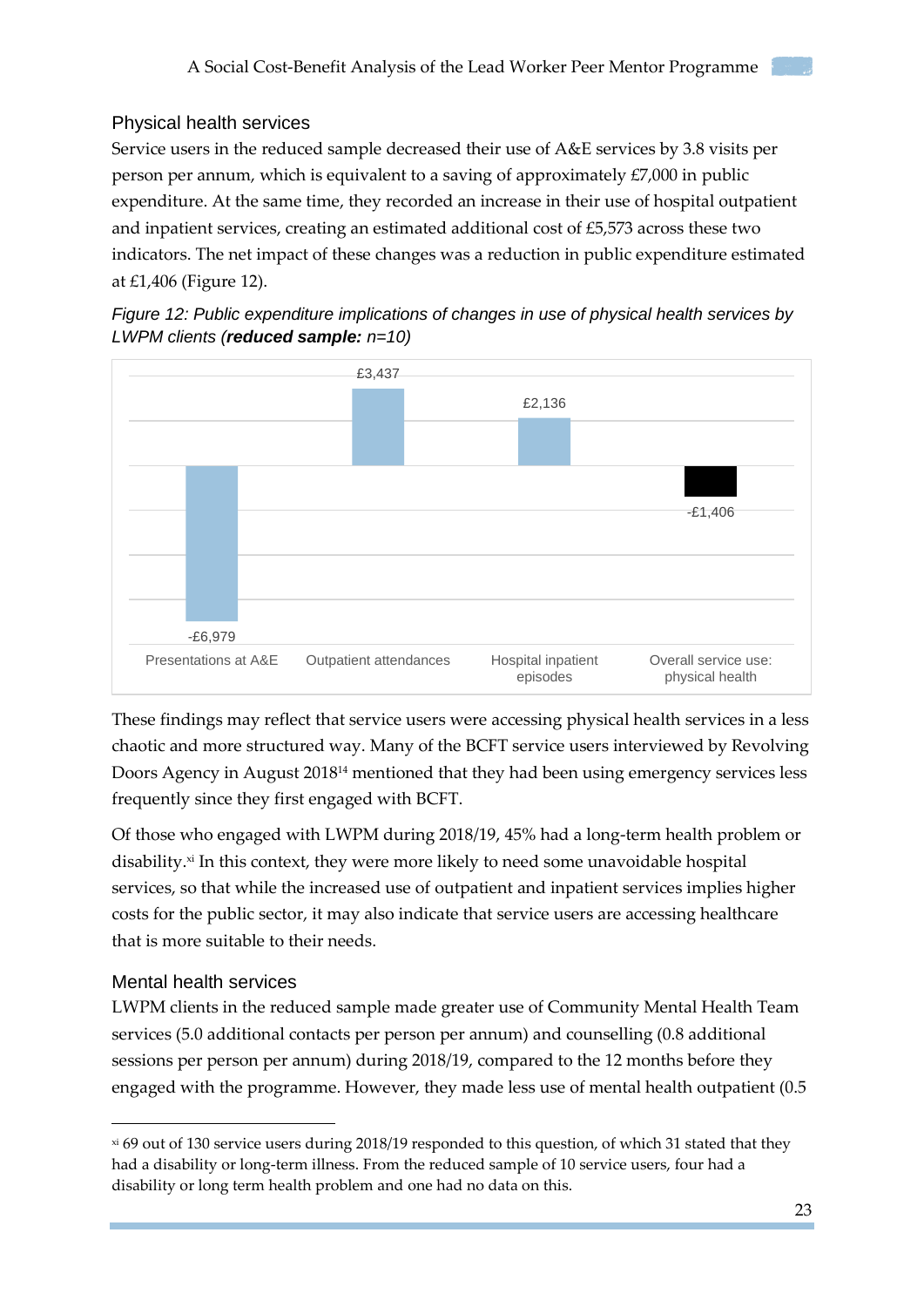#### <span id="page-22-0"></span>Physical health services

Service users in the reduced sample decreased their use of A&E services by 3.8 visits per person per annum, which is equivalent to a saving of approximately £7,000 in public expenditure. At the same time, they recorded an increase in their use of hospital outpatient and inpatient services, creating an estimated additional cost of £5,573 across these two indicators. The net impact of these changes was a reduction in public expenditure estimated at £1,406 (Figure 12).





These findings may reflect that service users were accessing physical health services in a less chaotic and more structured way. Many of the BCFT service users interviewed by Revolving Doors Agency in August 2018<sup>14</sup> mentioned that they had been using emergency services less frequently since they first engaged with BCFT.

Of those who engaged with LWPM during 2018/19, 45% had a long-term health problem or disability. xi In this context, they were more likely to need some unavoidable hospital services, so that while the increased use of outpatient and inpatient services implies higher costs for the public sector, it may also indicate that service users are accessing healthcare that is more suitable to their needs.

#### <span id="page-22-1"></span>Mental health services

-

LWPM clients in the reduced sample made greater use of Community Mental Health Team services (5.0 additional contacts per person per annum) and counselling (0.8 additional sessions per person per annum) during 2018/19, compared to the 12 months before they engaged with the programme. However, they made less use of mental health outpatient (0.5

xi 69 out of 130 service users during 2018/19 responded to this question, of which 31 stated that they had a disability or long-term illness. From the reduced sample of 10 service users, four had a disability or long term health problem and one had no data on this.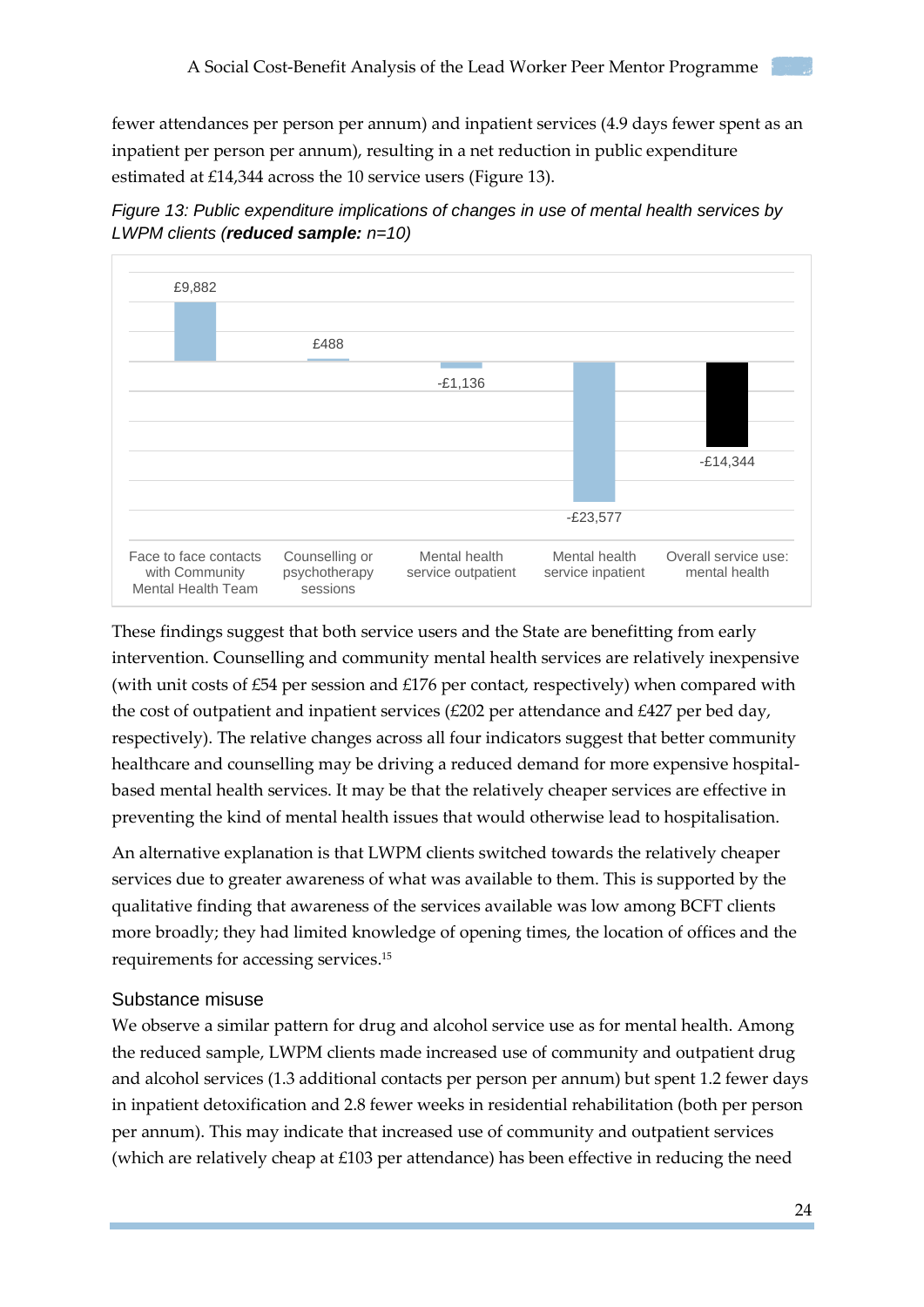fewer attendances per person per annum) and inpatient services (4.9 days fewer spent as an inpatient per person per annum), resulting in a net reduction in public expenditure estimated at £14,344 across the 10 service users (Figure 13).





These findings suggest that both service users and the State are benefitting from early intervention. Counselling and community mental health services are relatively inexpensive (with unit costs of £54 per session and £176 per contact, respectively) when compared with the cost of outpatient and inpatient services (£202 per attendance and £427 per bed day, respectively). The relative changes across all four indicators suggest that better community healthcare and counselling may be driving a reduced demand for more expensive hospitalbased mental health services. It may be that the relatively cheaper services are effective in preventing the kind of mental health issues that would otherwise lead to hospitalisation.

An alternative explanation is that LWPM clients switched towards the relatively cheaper services due to greater awareness of what was available to them. This is supported by the qualitative finding that awareness of the services available was low among BCFT clients more broadly; they had limited knowledge of opening times, the location of offices and the requirements for accessing services. 15

#### <span id="page-23-0"></span>Substance misuse

We observe a similar pattern for drug and alcohol service use as for mental health. Among the reduced sample, LWPM clients made increased use of community and outpatient drug and alcohol services (1.3 additional contacts per person per annum) but spent 1.2 fewer days in inpatient detoxification and 2.8 fewer weeks in residential rehabilitation (both per person per annum). This may indicate that increased use of community and outpatient services (which are relatively cheap at  $£103$  per attendance) has been effective in reducing the need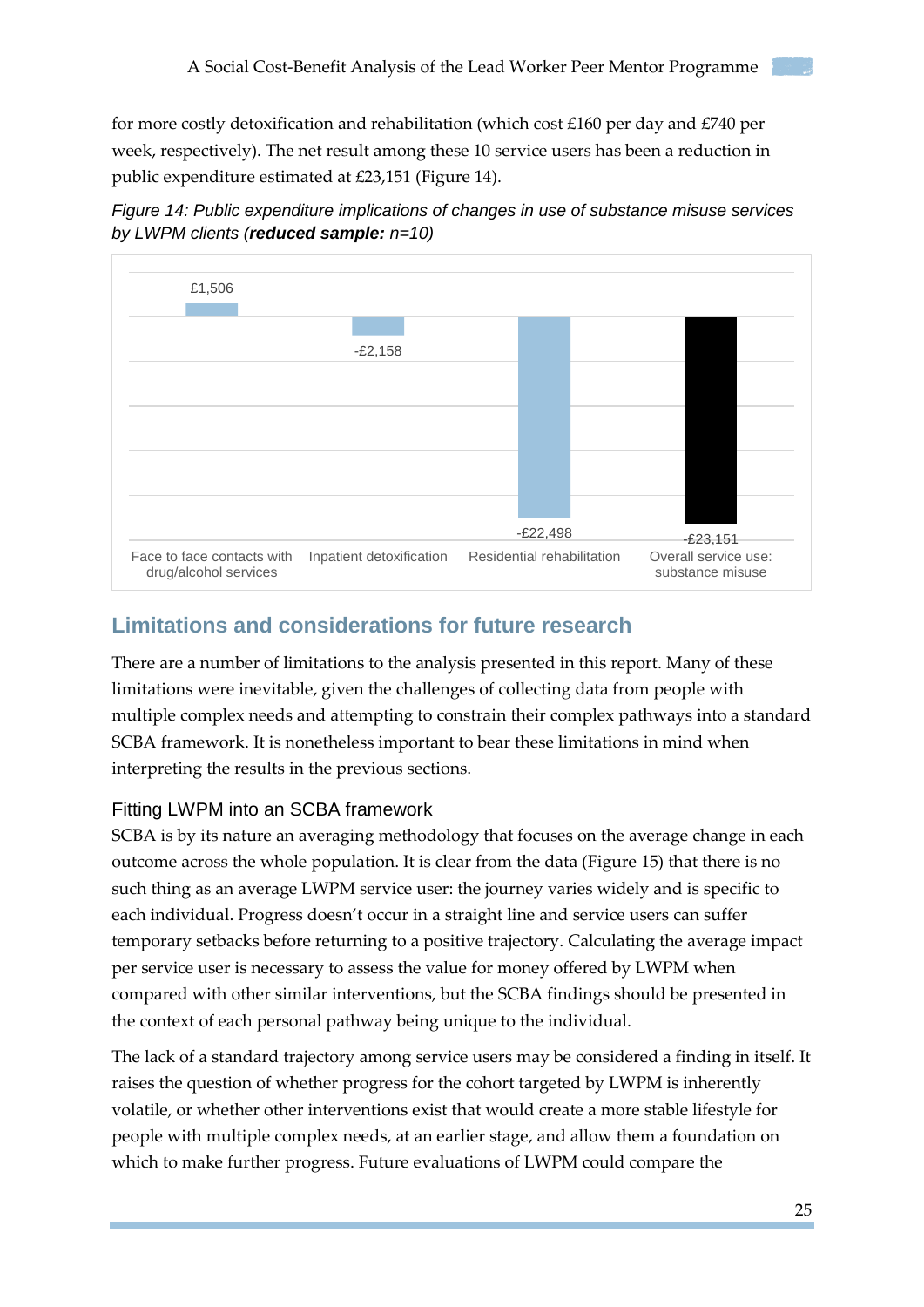for more costly detoxification and rehabilitation (which cost £160 per day and £740 per week, respectively). The net result among these 10 service users has been a reduction in public expenditure estimated at £23,151 (Figure 14).





### <span id="page-24-0"></span>**Limitations and considerations for future research**

There are a number of limitations to the analysis presented in this report. Many of these limitations were inevitable, given the challenges of collecting data from people with multiple complex needs and attempting to constrain their complex pathways into a standard SCBA framework. It is nonetheless important to bear these limitations in mind when interpreting the results in the previous sections.

#### <span id="page-24-1"></span>Fitting LWPM into an SCBA framework

SCBA is by its nature an averaging methodology that focuses on the average change in each outcome across the whole population. It is clear from the data (Figure 15) that there is no such thing as an average LWPM service user: the journey varies widely and is specific to each individual. Progress doesn't occur in a straight line and service users can suffer temporary setbacks before returning to a positive trajectory. Calculating the average impact per service user is necessary to assess the value for money offered by LWPM when compared with other similar interventions, but the SCBA findings should be presented in the context of each personal pathway being unique to the individual.

The lack of a standard trajectory among service users may be considered a finding in itself. It raises the question of whether progress for the cohort targeted by LWPM is inherently volatile, or whether other interventions exist that would create a more stable lifestyle for people with multiple complex needs, at an earlier stage, and allow them a foundation on which to make further progress. Future evaluations of LWPM could compare the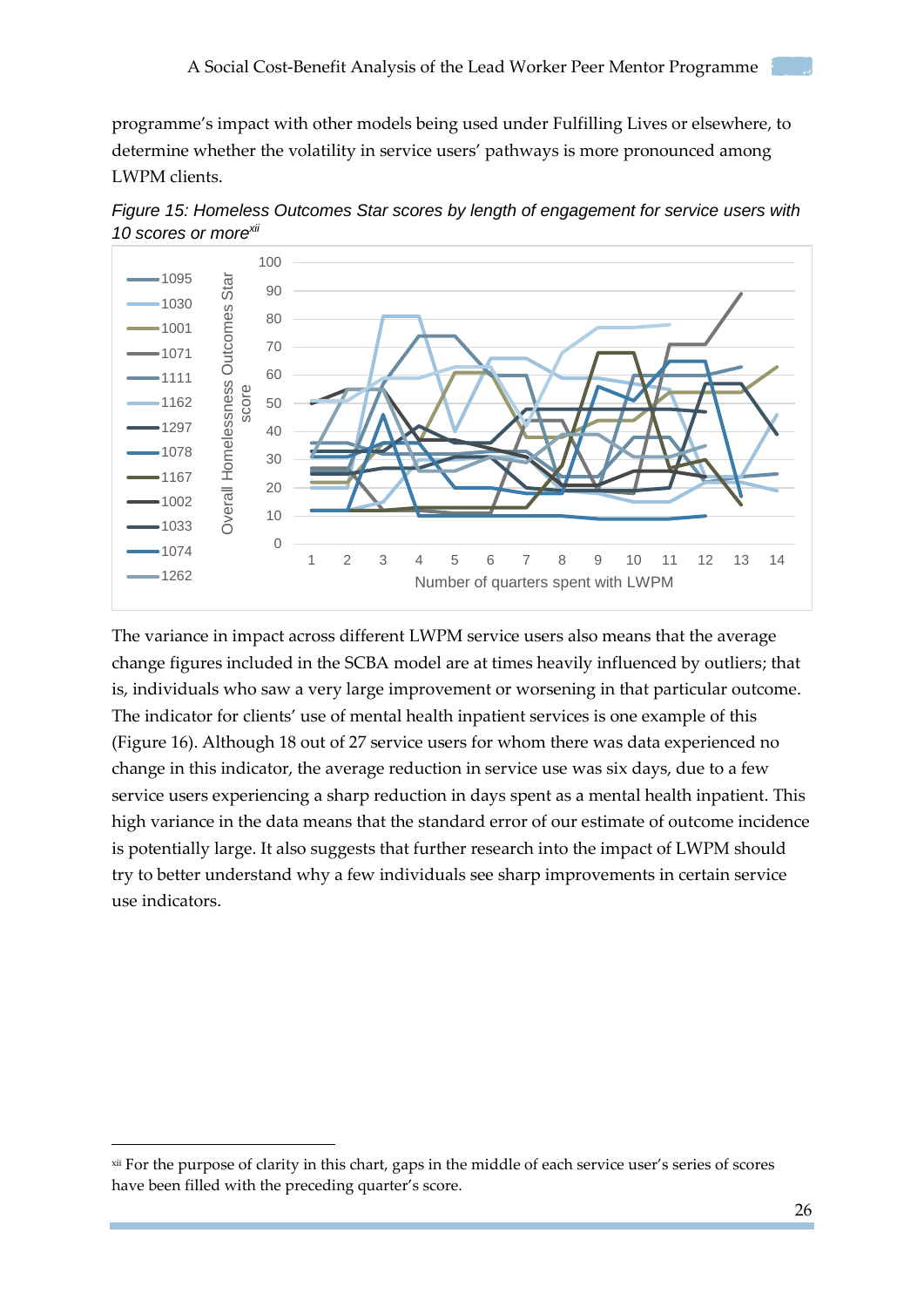programme's impact with other models being used under Fulfilling Lives or elsewhere, to determine whether the volatility in service users' pathways is more pronounced among LWPM clients.



*Figure 15: Homeless Outcomes Star scores by length of engagement for service users with 10 scores or morexii*

The variance in impact across different LWPM service users also means that the average change figures included in the SCBA model are at times heavily influenced by outliers; that is, individuals who saw a very large improvement or worsening in that particular outcome. The indicator for clients' use of mental health inpatient services is one example of this (Figure 16). Although 18 out of 27 service users for whom there was data experienced no change in this indicator, the average reduction in service use was six days, due to a few service users experiencing a sharp reduction in days spent as a mental health inpatient. This high variance in the data means that the standard error of our estimate of outcome incidence is potentially large. It also suggests that further research into the impact of LWPM should try to better understand why a few individuals see sharp improvements in certain service use indicators.

1 2 3 4 5 6 7 8 9 10 11 12 13 14

Number of quarters spent with LWPM

 $-1162$  $-1297$  $-1078$  $-1167$  $-1002$  $-1033$  $-1074$  $-1262$ 

-

xii For the purpose of clarity in this chart, gaps in the middle of each service user's series of scores have been filled with the preceding quarter's score.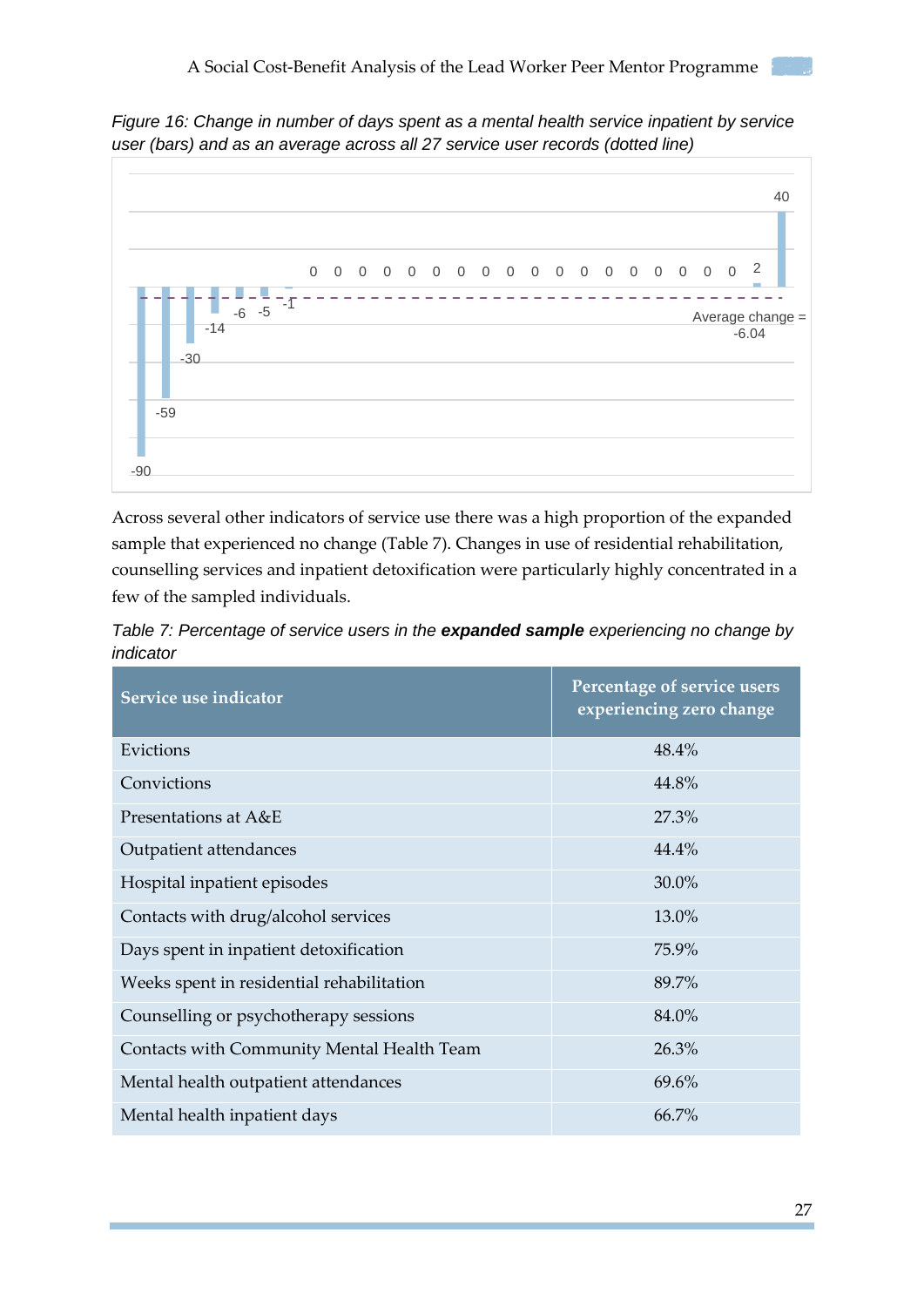



Across several other indicators of service use there was a high proportion of the expanded sample that experienced no change (Table 7). Changes in use of residential rehabilitation, counselling services and inpatient detoxification were particularly highly concentrated in a few of the sampled individuals.

*Table 7: Percentage of service users in the expanded sample experiencing no change by indicator*

| Service use indicator                      | Percentage of service users<br>experiencing zero change |
|--------------------------------------------|---------------------------------------------------------|
| Evictions                                  | 48.4%                                                   |
| Convictions                                | 44.8%                                                   |
| Presentations at A&E                       | 27.3%                                                   |
| Outpatient attendances                     | 44.4%                                                   |
| Hospital inpatient episodes                | 30.0%                                                   |
| Contacts with drug/alcohol services        | 13.0%                                                   |
| Days spent in inpatient detoxification     | 75.9%                                                   |
| Weeks spent in residential rehabilitation  | 89.7%                                                   |
| Counselling or psychotherapy sessions      | 84.0%                                                   |
| Contacts with Community Mental Health Team | 26.3%                                                   |
| Mental health outpatient attendances       | 69.6%                                                   |
| Mental health inpatient days               | 66.7%                                                   |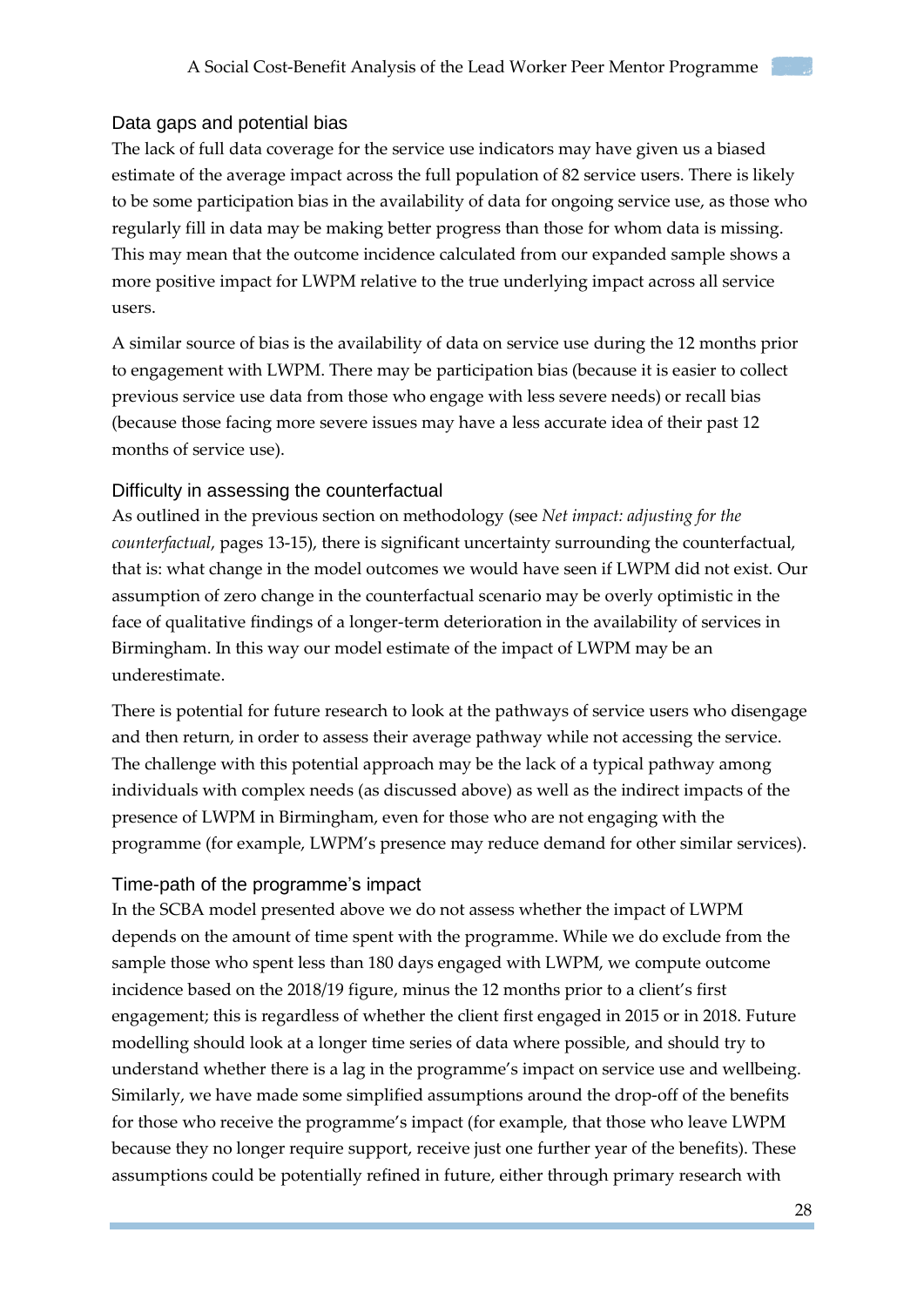#### <span id="page-27-0"></span>Data gaps and potential bias

The lack of full data coverage for the service use indicators may have given us a biased estimate of the average impact across the full population of 82 service users. There is likely to be some participation bias in the availability of data for ongoing service use, as those who regularly fill in data may be making better progress than those for whom data is missing. This may mean that the outcome incidence calculated from our expanded sample shows a more positive impact for LWPM relative to the true underlying impact across all service users.

A similar source of bias is the availability of data on service use during the 12 months prior to engagement with LWPM. There may be participation bias (because it is easier to collect previous service use data from those who engage with less severe needs) or recall bias (because those facing more severe issues may have a less accurate idea of their past 12 months of service use).

#### <span id="page-27-1"></span>Difficulty in assessing the counterfactual

As outlined in the previous section on methodology (see *Net impact: adjusting for the counterfactual*, pages 13-15), there is significant uncertainty surrounding the counterfactual, that is: what change in the model outcomes we would have seen if LWPM did not exist. Our assumption of zero change in the counterfactual scenario may be overly optimistic in the face of qualitative findings of a longer-term deterioration in the availability of services in Birmingham. In this way our model estimate of the impact of LWPM may be an underestimate.

There is potential for future research to look at the pathways of service users who disengage and then return, in order to assess their average pathway while not accessing the service. The challenge with this potential approach may be the lack of a typical pathway among individuals with complex needs (as discussed above) as well as the indirect impacts of the presence of LWPM in Birmingham, even for those who are not engaging with the programme (for example, LWPM's presence may reduce demand for other similar services).

#### <span id="page-27-2"></span>Time-path of the programme's impact

In the SCBA model presented above we do not assess whether the impact of LWPM depends on the amount of time spent with the programme. While we do exclude from the sample those who spent less than 180 days engaged with LWPM, we compute outcome incidence based on the 2018/19 figure, minus the 12 months prior to a client's first engagement; this is regardless of whether the client first engaged in 2015 or in 2018. Future modelling should look at a longer time series of data where possible, and should try to understand whether there is a lag in the programme's impact on service use and wellbeing. Similarly, we have made some simplified assumptions around the drop-off of the benefits for those who receive the programme's impact (for example, that those who leave LWPM because they no longer require support, receive just one further year of the benefits). These assumptions could be potentially refined in future, either through primary research with

28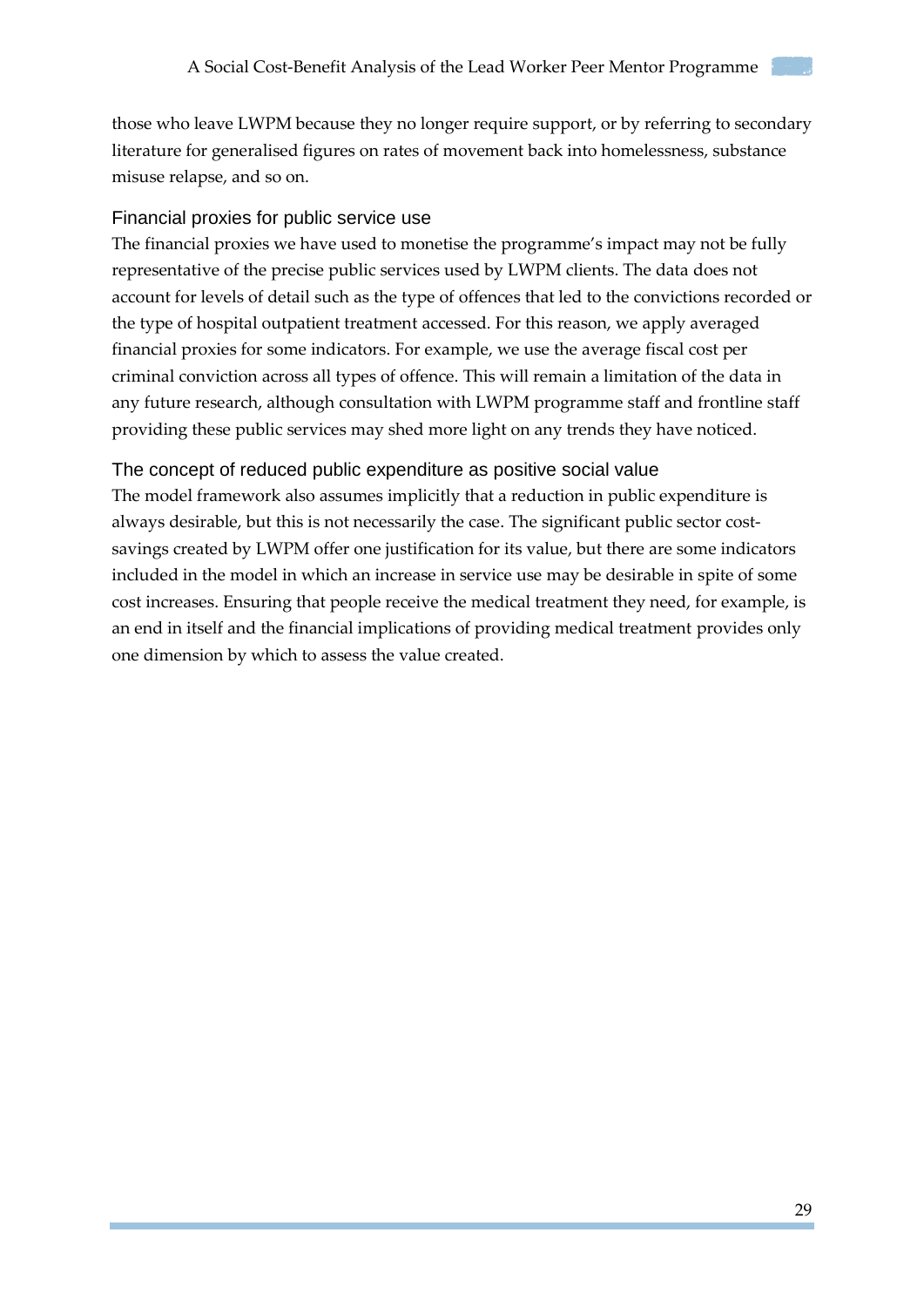those who leave LWPM because they no longer require support, or by referring to secondary literature for generalised figures on rates of movement back into homelessness, substance misuse relapse, and so on.

#### <span id="page-28-0"></span>Financial proxies for public service use

The financial proxies we have used to monetise the programme's impact may not be fully representative of the precise public services used by LWPM clients. The data does not account for levels of detail such as the type of offences that led to the convictions recorded or the type of hospital outpatient treatment accessed. For this reason, we apply averaged financial proxies for some indicators. For example, we use the average fiscal cost per criminal conviction across all types of offence. This will remain a limitation of the data in any future research, although consultation with LWPM programme staff and frontline staff providing these public services may shed more light on any trends they have noticed.

#### <span id="page-28-1"></span>The concept of reduced public expenditure as positive social value

The model framework also assumes implicitly that a reduction in public expenditure is always desirable, but this is not necessarily the case. The significant public sector costsavings created by LWPM offer one justification for its value, but there are some indicators included in the model in which an increase in service use may be desirable in spite of some cost increases. Ensuring that people receive the medical treatment they need, for example, is an end in itself and the financial implications of providing medical treatment provides only one dimension by which to assess the value created.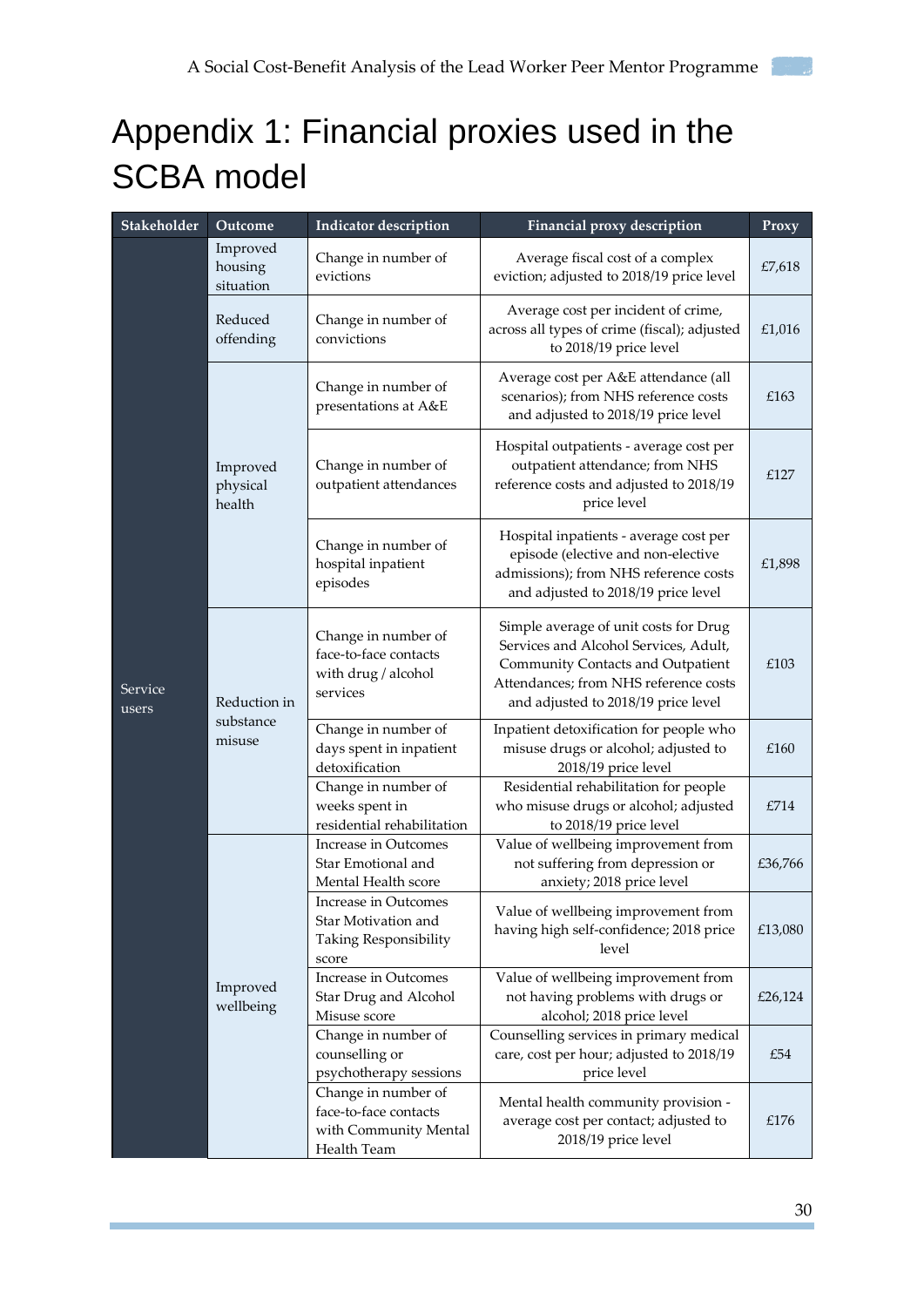## <span id="page-29-0"></span>Appendix 1: Financial proxies used in the SCBA model

| Stakeholder      | Outcome                             | <b>Indicator description</b>                                                         | Financial proxy description                                                                                                                                                                         | Proxy   |
|------------------|-------------------------------------|--------------------------------------------------------------------------------------|-----------------------------------------------------------------------------------------------------------------------------------------------------------------------------------------------------|---------|
|                  | Improved<br>housing<br>situation    | Change in number of<br>evictions                                                     | Average fiscal cost of a complex<br>eviction; adjusted to 2018/19 price level                                                                                                                       | £7,618  |
|                  | Reduced<br>offending                | Change in number of<br>convictions                                                   | Average cost per incident of crime,<br>across all types of crime (fiscal); adjusted<br>to 2018/19 price level                                                                                       | £1,016  |
|                  |                                     | Change in number of<br>presentations at A&E                                          | Average cost per A&E attendance (all<br>scenarios); from NHS reference costs<br>and adjusted to 2018/19 price level                                                                                 | £163    |
|                  | Improved<br>physical<br>health      | Change in number of<br>outpatient attendances                                        | Hospital outpatients - average cost per<br>outpatient attendance; from NHS<br>reference costs and adjusted to 2018/19<br>price level                                                                | £127    |
| Service<br>users |                                     | Change in number of<br>hospital inpatient<br>episodes                                | Hospital inpatients - average cost per<br>episode (elective and non-elective<br>admissions); from NHS reference costs<br>and adjusted to 2018/19 price level                                        | £1,898  |
|                  | Reduction in<br>substance<br>misuse | Change in number of<br>face-to-face contacts<br>with drug / alcohol<br>services      | Simple average of unit costs for Drug<br>Services and Alcohol Services, Adult,<br>Community Contacts and Outpatient<br>Attendances; from NHS reference costs<br>and adjusted to 2018/19 price level | £103    |
|                  |                                     | Change in number of<br>days spent in inpatient<br>detoxification                     | Inpatient detoxification for people who<br>misuse drugs or alcohol; adjusted to<br>2018/19 price level                                                                                              | £160    |
|                  |                                     | Change in number of<br>weeks spent in<br>residential rehabilitation                  | Residential rehabilitation for people<br>who misuse drugs or alcohol; adjusted<br>to 2018/19 price level                                                                                            | £714    |
|                  |                                     | Increase in Outcomes<br>Star Emotional and<br>Mental Health score                    | Value of wellbeing improvement from<br>not suffering from depression or<br>anxiety; 2018 price level                                                                                                | £36,766 |
|                  | Improved<br>wellbeing               | Increase in Outcomes<br>Star Motivation and<br>Taking Responsibility<br>score        | Value of wellbeing improvement from<br>having high self-confidence; 2018 price<br>level                                                                                                             | £13,080 |
|                  |                                     | Increase in Outcomes<br>Star Drug and Alcohol<br>Misuse score                        | Value of wellbeing improvement from<br>not having problems with drugs or<br>alcohol; 2018 price level                                                                                               | £26,124 |
|                  |                                     | Change in number of<br>counselling or<br>psychotherapy sessions                      | Counselling services in primary medical<br>care, cost per hour; adjusted to 2018/19<br>price level                                                                                                  | £54     |
|                  |                                     | Change in number of<br>face-to-face contacts<br>with Community Mental<br>Health Team | Mental health community provision -<br>average cost per contact; adjusted to<br>2018/19 price level                                                                                                 | £176    |